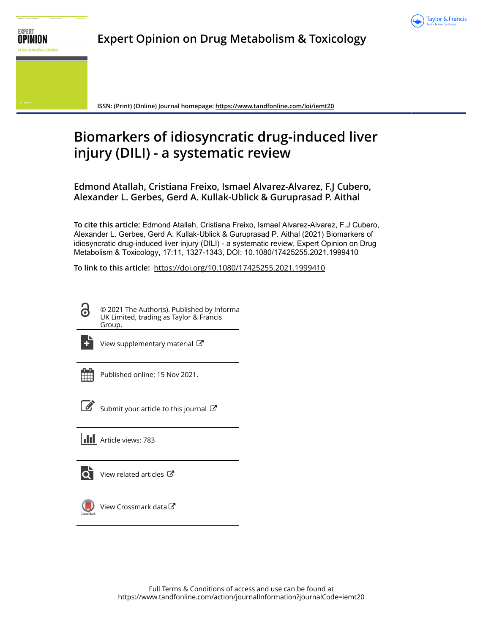

## **Expert Opinion on Drug Metabolism & Toxicology**

**ISSN: (Print) (Online) Journal homepage:<https://www.tandfonline.com/loi/iemt20>**

# **Biomarkers of idiosyncratic drug-induced liver injury (DILI) - a systematic review**

**Edmond Atallah, Cristiana Freixo, Ismael Alvarez-Alvarez, F.J Cubero, Alexander L. Gerbes, Gerd A. Kullak-Ublick & Guruprasad P. Aithal**

**To cite this article:** Edmond Atallah, Cristiana Freixo, Ismael Alvarez-Alvarez, F.J Cubero, Alexander L. Gerbes, Gerd A. Kullak-Ublick & Guruprasad P. Aithal (2021) Biomarkers of idiosyncratic drug-induced liver injury (DILI) - a systematic review, Expert Opinion on Drug Metabolism & Toxicology, 17:11, 1327-1343, DOI: [10.1080/17425255.2021.1999410](https://www.tandfonline.com/action/showCitFormats?doi=10.1080/17425255.2021.1999410)

**To link to this article:** <https://doi.org/10.1080/17425255.2021.1999410>

© 2021 The Author(s). Published by Informa UK Limited, trading as Taylor & Francis Group.



ര

[View supplementary material](https://www.tandfonline.com/doi/suppl/10.1080/17425255.2021.1999410)  $\mathbb{Z}$ 

Published online: 15 Nov 2021.



 $\overline{\mathscr{L}}$  [Submit your article to this journal](https://www.tandfonline.com/action/authorSubmission?journalCode=iemt20&show=instructions)  $\mathbb{Z}$ 

**III** Article views: 783



 $\overline{\mathbf{Q}}$  [View related articles](https://www.tandfonline.com/doi/mlt/10.1080/17425255.2021.1999410)  $\mathbf{C}$ 



[View Crossmark data](http://crossmark.crossref.org/dialog/?doi=10.1080/17425255.2021.1999410&domain=pdf&date_stamp=2021-11-15) $\bm{\mathcal{C}}$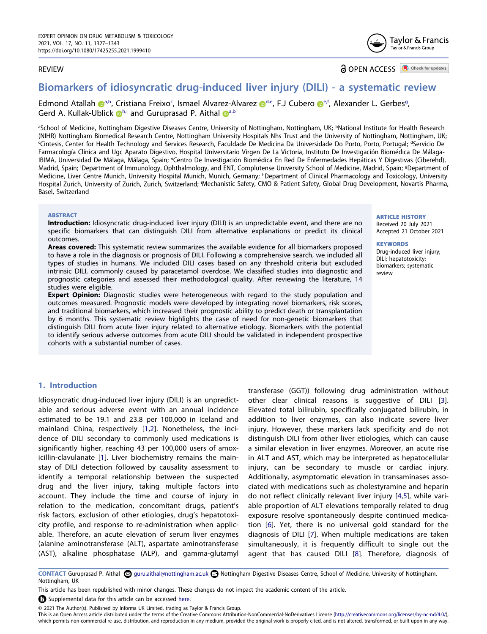## REVIEW

**a** OPEN ACCESS **a** Check for updates

Taylor & Francis Taylor & Francis Group

## **Biomarkers of idiosyncratic drug-induced liver injury (DILI) - a systematic review**

Edmond Atallah @<sup>[a,b](#page-1-0)</sup>, Cristiana Freixo<sup>c</sup>, Ismael Alvarez-Alvarez @<sup>[d](#page-1-1)[,e](#page-1-2)</sup>, F.J Cub[e](#page-1-2)ro @<sup>e,f</sup>, Alexander L. Gerbes<sup>[g](#page-1-3)</sup>, Gerd A. Ku[l](http://orcid.org/0000-0003-3924-4830)lak-Ublick  $\mathbb{D}^{h,i}$  $\mathbb{D}^{h,i}$  $\mathbb{D}^{h,i}$  and Guruprasad P. Aithal  $\mathbb{D}^{a,b}$  $\mathbb{D}^{a,b}$  $\mathbb{D}^{a,b}$ 

<span id="page-1-3"></span><span id="page-1-2"></span><span id="page-1-1"></span><span id="page-1-0"></span>aSchool of Medicine, Nottingham Digestive Diseases Centre, University of Nottingham, Nottingham, UK; bNational Institute for Health Research (NIHR) Nottingham Biomedical Research Centre, Nottingham University Hospitals Nhs Trust and the University of Nottingham, Nottingham, UK; c Cintesis, Center for Health Technology and Services Research, Faculdade De Medicina Da Universidade Do Porto, Porto, Portugal; d Servicio De Farmacología Clínica and Ugc Aparato Digestivo, Hospital Universitario Virgen De La Victoria, Instituto De Investigación Biomédica De Málaga-IBIMA, Universidad De Málaga, Málaga, Spain; <sup>e</sup>Centro De Investigación Biomédica En Red De Enfermedades Hepáticas Y Digestivas (Ciberehd), Madrid, Spain; 'Department of Immunology, Ophthalmology, and ENT, Complutense University School of Medicine, Madrid, Spain; <sup>9</sup>Department of Medicine, Liver Centre Munich, University Hospital Munich, Munich, Germany; <sup>h</sup>Department of Clinical Pharmacology and Toxicology, University Hospital Zurich, University of Zurich, Zurich, Switzerland; 'Mechanistic Safety, CMO & Patient Safety, Global Drug Development, Novartis Pharma, Basel, Switzerland

## <span id="page-1-5"></span><span id="page-1-4"></span>**ABSTRACT**

**Introduction:** Idiosyncratic drug-induced liver injury (DILI) is an unpredictable event, and there are no specific biomarkers that can distinguish DILI from alternative explanations or predict its clinical outcomes.

**Areas covered:** This systematic review summarizes the available evidence for all biomarkers proposed to have a role in the diagnosis or prognosis of DILI. Following a comprehensive search, we included all types of studies in humans. We included DILI cases based on any threshold criteria but excluded intrinsic DILI, commonly caused by paracetamol overdose. We classified studies into diagnostic and prognostic categories and assessed their methodological quality. After reviewing the literature, 14 studies were eligible.

**Expert Opinion:** Diagnostic studies were heterogeneous with regard to the study population and outcomes measured. Prognostic models were developed by integrating novel biomarkers, risk scores, and traditional biomarkers, which increased their prognostic ability to predict death or transplantation by 6 months. This systematic review highlights the case of need for non-genetic biomarkers that distinguish DILI from acute liver injury related to alternative etiology. Biomarkers with the potential to identify serious adverse outcomes from acute DILI should be validated in independent prospective cohorts with a substantial number of cases.

#### **ARTICLE HISTORY** Received 20 July 2021

Accepted 21 October 2021

#### **KEYWORDS**

Drug-induced liver injury; DILI; hepatotoxicity; biomarkers; systematic review

## **1. Introduction**

<span id="page-1-7"></span><span id="page-1-6"></span>Idiosyncratic drug-induced liver injury (DILI) is an unpredictable and serious adverse event with an annual incidence estimated to be 19.1 and 23.8 per 100,000 in Iceland and mainland China, respectively [[1,](#page-16-0)[2\]](#page-16-1). Nonetheless, the incidence of DILI secondary to commonly used medications is significantly higher, reaching 43 per 100,000 users of amoxicillin-clavulanate [[1\]](#page-16-0). Liver biochemistry remains the mainstay of DILI detection followed by causality assessment to identify a temporal relationship between the suspected drug and the liver injury, taking multiple factors into account. They include the time and course of injury in relation to the medication, concomitant drugs, patient's risk factors, exclusion of other etiologies, drug's hepatotoxicity profile, and response to re-administration when applicable. Therefore, an acute elevation of serum liver enzymes (alanine aminotransferase (ALT), aspartate aminotransferase (AST), alkaline phosphatase (ALP), and gamma-glutamyl <span id="page-1-12"></span><span id="page-1-11"></span><span id="page-1-10"></span><span id="page-1-9"></span><span id="page-1-8"></span>transferase (GGT)) following drug administration without other clear clinical reasons is suggestive of DILI [[3\]](#page-16-2). Elevated total bilirubin, specifically conjugated bilirubin, in addition to liver enzymes, can also indicate severe liver injury. However, these markers lack specificity and do not distinguish DILI from other liver etiologies, which can cause a similar elevation in liver enzymes. Moreover, an acute rise in ALT and AST, which may be interpreted as hepatocellular injury, can be secondary to muscle or cardiac injury. Additionally, asymptomatic elevation in transaminases associated with medications such as cholestyramine and heparin do not reflect clinically relevant liver injury [[4,](#page-16-3)[5\]](#page-16-4), while variable proportion of ALT elevations temporally related to drug exposure resolve spontaneously despite continued medication [[6\]](#page-16-5). Yet, there is no universal gold standard for the diagnosis of DILI [\[7](#page-16-6)]. When multiple medications are taken simultaneously, it is frequently difficult to single out the agent that has caused DILI [\[8](#page-16-7)]. Therefore, diagnosis of

CONTACT Guruprasad P. Aithal 2 guru.aithal@nottingham.ac.uk **D** Nottingham Digestive Diseases Centre, School of Medicine, University of Nottingham, Nottingham, UK

This article has been republished with minor changes. These changes do not impact the academic content of the article.

Supplemental data for this article can be accessed [here](https://doi.org/10.1080/17425255.2021.1999410).

© 2021 The Author(s). Published by Informa UK Limited, trading as Taylor & Francis Group.

This is an Open Access article distributed under the terms of the Creative Commons Attribution-NonCommercial-NoDerivatives License (http://creativecommons.org/licenses/by-nc-nd/4.0/), which permits non-commercial re-use, distribution, and reproduction in any medium, provided the original work is properly cited, and is not altered, transformed, or built upon in any way.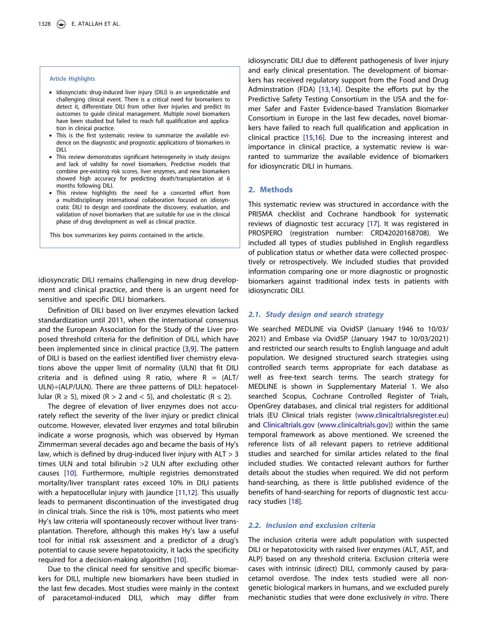## **Article Highlights**

- Idiosyncratic drug-induced liver injury (DILI) is an unpredictable and challenging clinical event. There is a critical need for biomarkers to detect it, differentiate DILI from other liver injuries and predict its outcomes to guide clinical management. Multiple novel biomarkers have been studied but failed to reach full qualification and application in clinical practice.
- This is the first systematic review to summarize the available evidence on the diagnostic and prognostic applications of biomarkers in DILI.
- This review demonstrates significant heterogeneity in study designs and lack of validity for novel biomarkers. Predictive models that combine pre-existing risk scores, liver enzymes, and new biomarkers showed high accuracy for predicting death/transplantation at 6 months following DILI.
- This review highlights the need for a concerted effort from a multidisciplinary international collaboration focused on idiosyncratic DILI to design and coordinate the discovery, evaluation, and validation of novel biomarkers that are suitable for use in the clinical phase of drug development as well as clinical practice.

This box summarizes key points contained in the article.

idiosyncratic DILI remains challenging in new drug development and clinical practice, and there is an urgent need for sensitive and specific DILI biomarkers.

<span id="page-2-0"></span>Definition of DILI based on liver enzymes elevation lacked standardization until 2011, when the international consensus and the European Association for the Study of the Liver proposed threshold criteria for the definition of DILI, which have been implemented since in clinical practice [\[3](#page-16-2)[,9](#page-16-8)]. The pattern of DILI is based on the earliest identified liver chemistry elevations above the upper limit of normality (ULN) that fit DILI criteria and is defined using R ratio, where  $R = (ALT)$ ULN)÷(ALP/ULN). There are three patterns of DILI: hepatocellular (R  $\ge$  5), mixed (R > 2 and < 5), and cholestatic (R  $\le$  2).

The degree of elevation of liver enzymes does not accurately reflect the severity of the liver injury or predict clinical outcome. However, elevated liver enzymes and total bilirubin indicate a worse prognosis, which was observed by Hyman Zimmerman several decades ago and became the basis of Hy's law, which is defined by drug-induced liver injury with ALT > 3 times ULN and total bilirubin >2 ULN after excluding other causes [[10\]](#page-16-9). Furthermore, multiple registries demonstrated mortality/liver transplant rates exceed 10% in DILI patients with a hepatocellular injury with jaundice [[11](#page-16-10)[,12](#page-16-11)]. This usually leads to permanent discontinuation of the investigated drug in clinical trials. Since the risk is 10%, most patients who meet Hy's law criteria will spontaneously recover without liver transplantation. Therefore, although this makes Hy's law a useful tool for initial risk assessment and a predictor of a drug's potential to cause severe hepatotoxicity, it lacks the specificity required for a decision-making algorithm [[10](#page-16-9)].

<span id="page-2-2"></span><span id="page-2-1"></span>Due to the clinical need for sensitive and specific biomarkers for DILI, multiple new biomarkers have been studied in the last few decades. Most studies were mainly in the context of paracetamol-induced DILI, which may differ from

<span id="page-2-3"></span>idiosyncratic DILI due to different pathogenesis of liver injury and early clinical presentation. The development of biomarkers has received regulatory support from the Food and Drug Adminstration (FDA) [[13,](#page-16-12)[14](#page-16-13)]. Despite the efforts put by the Predictive Safety Testing Consortium in the USA and the former Safer and Faster Evidence-based Translation Biomarker Consortium in Europe in the last few decades, novel biomarkers have failed to reach full qualification and application in clinical practice [\[15,](#page-16-14)[16\]](#page-16-15). Due to the increasing interest and importance in clinical practice, a systematic review is warranted to summarize the available evidence of biomarkers for idiosyncratic DILI in humans.

## **2. Methods**

<span id="page-2-4"></span>This systematic review was structured in accordance with the PRISMA checklist and Cochrane handbook for systematic reviews of diagnostic test accuracy [[17](#page-16-16)]. It was registered in PROSPERO (registration number: CRD42020168708). We included all types of studies published in English regardless of publication status or whether data were collected prospectively or retrospectively. We included studies that provided information comparing one or more diagnostic or prognostic biomarkers against traditional index tests in patients with idiosyncratic DILI.

## *2.1. Study design and search strategy*

We searched MEDLINE via OvidSP (January 1946 to 10/03/ 2021) and Embase via OvidSP (January 1947 to 10/03/2021) and restricted our search results to English language and adult population. We designed structured search strategies using controlled search terms appropriate for each database as well as free-text search terms. The search strategy for MEDLINE is shown in Supplementary Material 1. We also searched Scopus, Cochrane Controlled Register of Trials, OpenGrey databases, and clinical trial registers for additional trials (EU Clinical trials register [\(www.clinicaltrialsregister.eu\)](http://www.clinicaltrialsregister.eu) and [Clinicaltrials.gov](http://Clinicaltrials.gov) [\(www.clinicaltrials.gov](http://www.clinicaltrials.gov))) within the same temporal framework as above mentioned. We screened the reference lists of all relevant papers to retrieve additional studies and searched for similar articles related to the final included studies. We contacted relevant authors for further details about the studies when required. We did not perform hand-searching, as there is little published evidence of the benefits of hand-searching for reports of diagnostic test accuracy studies [\[18](#page-16-17)].

## <span id="page-2-5"></span>*2.2. Inclusion and exclusion criteria*

The inclusion criteria were adult population with suspected DILI or hepatotoxicity with raised liver enzymes (ALT, AST, and ALP) based on any threshold criteria. Exclusion criteria were cases with intrinsic (direct) DILI, commonly caused by paracetamol overdose. The index tests studied were all nongenetic biological markers in humans, and we excluded purely mechanistic studies that were done exclusively *in vitro*. There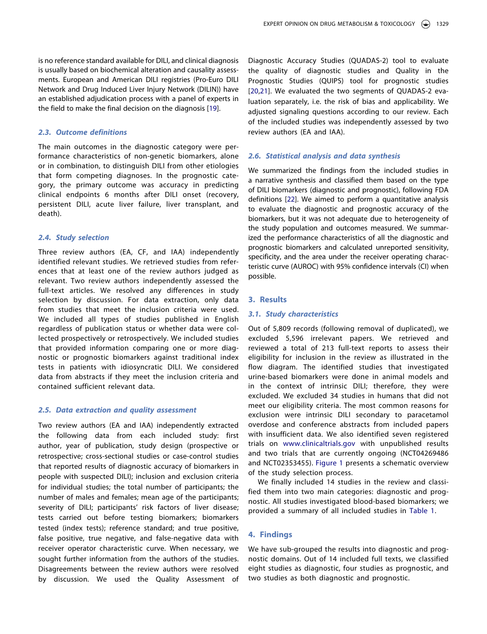is no reference standard available for DILI, and clinical diagnosis is usually based on biochemical alteration and causality assessments. European and American DILI registries (Pro-Euro DILI Network and Drug Induced Liver Injury Network (DILIN)) have an established adjudication process with a panel of experts in the field to make the final decision on the diagnosis [[19](#page-16-18)].

## <span id="page-3-0"></span>*2.3. Outcome definitions*

The main outcomes in the diagnostic category were performance characteristics of non-genetic biomarkers, alone or in combination, to distinguish DILI from other etiologies that form competing diagnoses. In the prognostic category, the primary outcome was accuracy in predicting clinical endpoints 6 months after DILI onset (recovery, persistent DILI, acute liver failure, liver transplant, and death).

## *2.4. Study selection*

Three review authors (EA, CF, and IAA) independently identified relevant studies. We retrieved studies from references that at least one of the review authors judged as relevant. Two review authors independently assessed the full-text articles. We resolved any differences in study selection by discussion. For data extraction, only data from studies that meet the inclusion criteria were used. We included all types of studies published in English regardless of publication status or whether data were collected prospectively or retrospectively. We included studies that provided information comparing one or more diagnostic or prognostic biomarkers against traditional index tests in patients with idiosyncratic DILI. We considered data from abstracts if they meet the inclusion criteria and contained sufficient relevant data.

## *2.5. Data extraction and quality assessment*

Two review authors (EA and IAA) independently extracted the following data from each included study: first author, year of publication, study design (prospective or retrospective; cross-sectional studies or case-control studies that reported results of diagnostic accuracy of biomarkers in people with suspected DILI); inclusion and exclusion criteria for individual studies; the total number of participants; the number of males and females; mean age of the participants; severity of DILI; participants' risk factors of liver disease; tests carried out before testing biomarkers; biomarkers tested (index tests); reference standard; and true positive, false positive, true negative, and false-negative data with receiver operator characteristic curve. When necessary, we sought further information from the authors of the studies. Disagreements between the review authors were resolved by discussion. We used the Quality Assessment of <span id="page-3-1"></span>Diagnostic Accuracy Studies (QUADAS-2) tool to evaluate the quality of diagnostic studies and Quality in the Prognostic Studies (QUIPS) tool for prognostic studies [[20](#page-16-19),[21](#page-16-20)]. We evaluated the two segments of QUADAS-2 evaluation separately, i.e. the risk of bias and applicability. We adjusted signaling questions according to our review. Each of the included studies was independently assessed by two review authors (EA and IAA).

## *2.6. Statistical analysis and data synthesis*

<span id="page-3-2"></span>We summarized the findings from the included studies in a narrative synthesis and classified them based on the type of DILI biomarkers (diagnostic and prognostic), following FDA definitions [\[22](#page-16-21)]. We aimed to perform a quantitative analysis to evaluate the diagnostic and prognostic accuracy of the biomarkers, but it was not adequate due to heterogeneity of the study population and outcomes measured. We summarized the performance characteristics of all the diagnostic and prognostic biomarkers and calculated unreported sensitivity, specificity, and the area under the receiver operating characteristic curve (AUROC) with 95% confidence intervals (CI) when possible.

### **3. Results**

### *3.1. Study characteristics*

Out of 5,809 records (following removal of duplicated), we excluded 5,596 irrelevant papers. We retrieved and reviewed a total of 213 full-text reports to assess their eligibility for inclusion in the review as illustrated in the flow diagram. The identified studies that investigated urine-based biomarkers were done in animal models and in the context of intrinsic DILI; therefore, they were excluded. We excluded 34 studies in humans that did not meet our eligibility criteria. The most common reasons for exclusion were intrinsic DILI secondary to paracetamol overdose and conference abstracts from included papers with insufficient data. We also identified seven registered trials on [www.clinicaltrials.gov](http://www.clinicaltrials.gov) with unpublished results and two trials that are currently ongoing (NCT04269486 and NCT02353455). [Figure 1](#page-4-0) presents a schematic overview of the study selection process.

We finally included 14 studies in the review and classified them into two main categories: diagnostic and prognostic. All studies investigated blood-based biomarkers; we provided a summary of all included studies in [Table 1](#page-5-0).

## **4. Findings**

We have sub-grouped the results into diagnostic and prognostic domains. Out of 14 included full texts, we classified eight studies as diagnostic, four studies as prognostic, and two studies as both diagnostic and prognostic.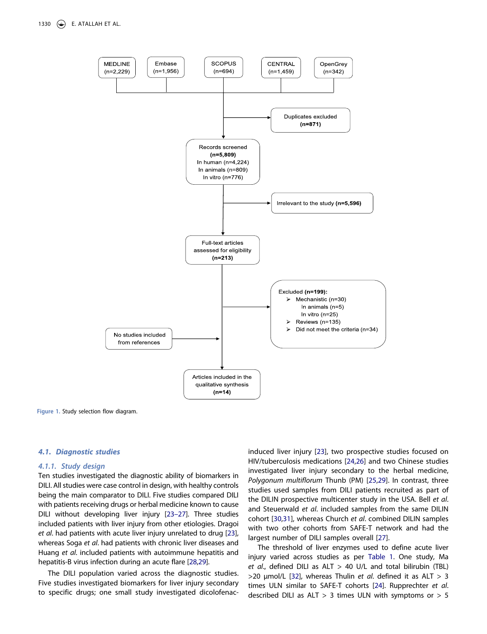

<span id="page-4-0"></span>**Figure 1.** Study selection flow diagram.

#### *4.1. Diagnostic studies*

#### *4.1.1. Study design*

Ten studies investigated the diagnostic ability of biomarkers in DILI. All studies were case control in design, with healthy controls being the main comparator to DILI. Five studies compared DILI with patients receiving drugs or herbal medicine known to cause DILI without developing liver injury [[23–27](#page-16-22)]. Three studies included patients with liver injury from other etiologies. Dragoi *et al*. had patients with acute liver injury unrelated to drug [[23](#page-16-22)], whereas Soga *et al*. had patients with chronic liver diseases and Huang *et al*. included patients with autoimmune hepatitis and hepatitis-B virus infection during an acute flare [[28](#page-17-0)[,29\]](#page-17-1).

<span id="page-4-6"></span>The DILI population varied across the diagnostic studies. Five studies investigated biomarkers for liver injury secondary to specific drugs; one small study investigated dicolofenac<span id="page-4-4"></span><span id="page-4-3"></span><span id="page-4-1"></span>induced liver injury [[23](#page-16-22)], two prospective studies focused on HIV/tuberculosis medications [[24,](#page-16-23)[26](#page-17-2)] and two Chinese studies investigated liver injury secondary to the herbal medicine, *Polygonum multiflorum* Thunb (PM) [\[25](#page-16-24)[,29\]](#page-17-1). In contrast, three studies used samples from DILI patients recruited as part of the DILIN prospective multicenter study in the USA. Bell *et al*. and Steuerwald *et al*. included samples from the same DILIN cohort [\[30](#page-17-3)[,31\]](#page-17-4), whereas Church *et al*. combined DILIN samples with two other cohorts from SAFE-T network and had the largest number of DILI samples overall [\[27](#page-17-5)].

<span id="page-4-8"></span><span id="page-4-7"></span><span id="page-4-5"></span><span id="page-4-2"></span>The threshold of liver enzymes used to define acute liver injury varied across studies as per [Table 1](#page-5-0). One study, Ma *et al*., defined DILI as ALT > 40 U/L and total bilirubin (TBL) >20 µmol/L [[32](#page-17-6)], whereas Thulin *et al*. defined it as ALT > 3 times ULN similar to SAFE-T cohorts [[24](#page-16-23)]. Rupprechter *et al*. described DILI as  $ALT > 3$  times ULN with symptoms or  $> 5$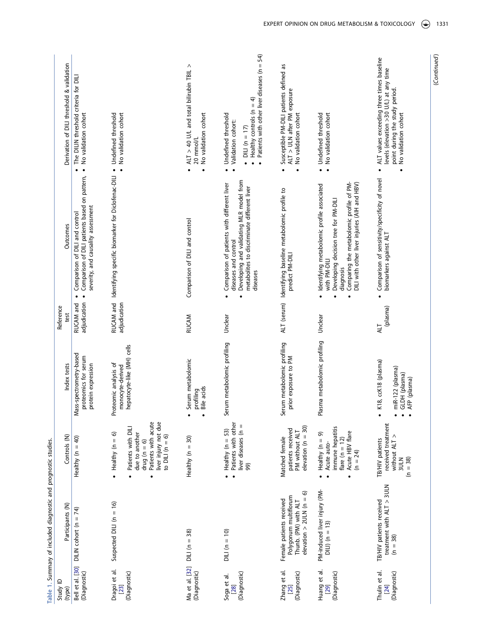<span id="page-5-0"></span>

(Continued) (*Continued*)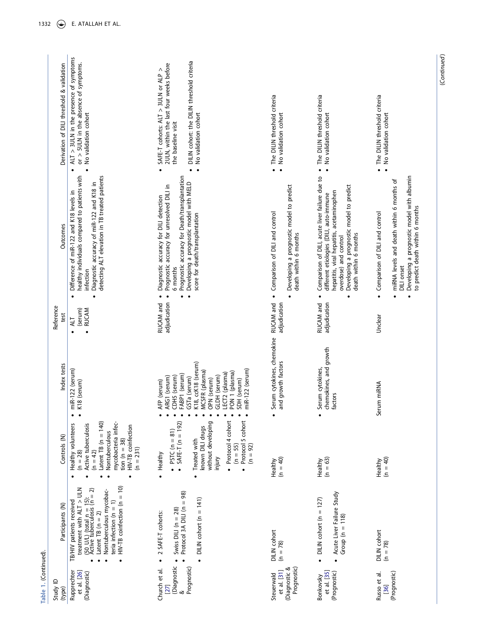|                       | Derivation of DILI threshold & validation | $ALT > 3ULN$ in the presence of symptoms<br>$or$ > $5$ ULN in the absence of symptoms.                                                                                                                                                                          | DILIN cohort: the DILIN threshold criteria<br>2ULN, within the last four weeks before<br>SAFE-T cohorts: $ALT > 3ULN$ or $ALP >$                                                                                                                          |                                                                                                                               |                                                                                                                                                                                                                                                                |                                                                                                                                                                                                                    |
|-----------------------|-------------------------------------------|-----------------------------------------------------------------------------------------------------------------------------------------------------------------------------------------------------------------------------------------------------------------|-----------------------------------------------------------------------------------------------------------------------------------------------------------------------------------------------------------------------------------------------------------|-------------------------------------------------------------------------------------------------------------------------------|----------------------------------------------------------------------------------------------------------------------------------------------------------------------------------------------------------------------------------------------------------------|--------------------------------------------------------------------------------------------------------------------------------------------------------------------------------------------------------------------|
|                       |                                           | No validation cohort<br>$\bullet$<br>$\bullet$                                                                                                                                                                                                                  | No validation cohort<br>the baseline visit<br>$\bullet$<br>$\bullet$<br>$\bullet$                                                                                                                                                                         | • The DILIN threshold criteria<br>No validation cohort                                                                        | The DILIN threshold criteria<br>No validation cohort<br>$\bullet$                                                                                                                                                                                              | The DILIN threshold criteria<br>No validation cohort<br>$\bullet$                                                                                                                                                  |
|                       | Outcomes                                  | healthy individuals compared to patients with<br>detecting ALT elevation in TB treated patients<br>Diagnostic accuracy of miR-122 and K18 in<br>Difference of miR-122 and K18 levels in<br>infection<br>$\bullet$<br>$\bullet$                                  | Prognostic accuracy for Death/transplantation<br>Developing a prognostic model with MELD<br>Prognostic accuracy for unresolved DILI in<br>Diagnostic accuracy for DILI detection<br>score for death/transplantation<br>6 months<br>$\bullet$<br>$\bullet$ | Developing a prognostic model to predict<br>Comparison of DILI and control<br>death within 6 months<br>$\bullet$<br>$\bullet$ | Comparison of DILI, acute liver failure due to<br>Developing a prognostic model to predict<br>hepatitis, viral hepatitis, acetaminophen<br>different etiologies (DILI, auto-immune<br>death within 6 months<br>overdose) and control<br>$\bullet$<br>$\bullet$ | Developing a prognostic model with albumin<br>miRNA levels and death within 6 months of<br>to predict death within 6 months<br>Comparison of DILI and control<br>DILI onset<br>$\bullet$<br>$\bullet$<br>$\bullet$ |
|                       | Reference<br>test                         | (serum)<br><b>RUCAM</b><br>ALT<br>$\bullet$                                                                                                                                                                                                                     | adjudication<br>RUCAM and                                                                                                                                                                                                                                 | RUCAM and<br>adjudication                                                                                                     | adjudication<br>RUCAM and                                                                                                                                                                                                                                      | Unclear                                                                                                                                                                                                            |
|                       | Index tests                               | miR-122 (serum)<br>K18 (serum)<br>$\bullet$                                                                                                                                                                                                                     | K18, ccK18 (serum)<br>miR-122 (serum)<br>MCSFR (plasma)<br>PON 1 (plasma)<br>LECT2 (plasma)<br>FABP1 (serum)<br>GLDH (serum)<br>CDH5 (serum)<br>ARG1 (serum)<br>GSTa (serum)<br>OPN (serum)<br>SDH (serum)<br>AFP (serum)                                 | Serum cytokines, chemokine<br>and growth factors                                                                              | chemokines, and growth<br>Serum cytokines,<br>factors                                                                                                                                                                                                          | Serum miRNA                                                                                                                                                                                                        |
|                       | Controls (N)                              | Latent TB $(n = 140)$<br>mycobacteria infec-<br>Healthy volunteers<br>Active tuberculosis<br>HIV-TB coinfection<br>Nontuberculous<br>tion ( $n = 38$ )<br>$(n = 231)$<br>$(n = 42)$<br>$(n = 28)$                                                               | · Protocol 4 cohort<br>Protocol 5 cohort<br>without developing<br>$SAFE-T (n = 192)$<br>known DILI drugs<br>• $PSTC(n = 81)$<br>Treated with<br>$(n = 55)$<br>$(n = 92)$<br>· Healthy<br>injury                                                           | $(n = 40)$<br>Healthy                                                                                                         | $(n = 63)$<br>Healthy                                                                                                                                                                                                                                          | $(n = 40)$<br>Healthy                                                                                                                                                                                              |
|                       | Participants (N)                          | $H/V-TB$ coinfection $(n = 10)$<br>treatment with ALT > ULN<br>$(50 \text{ U/L})$ (total $n = 15$ ):<br>Active tuberculosis ( $n = 2$ )<br>Nontuberculous mycobac-<br>teria infection $(n = 1)$<br>TB/HIV patients received<br>Latent TB $(n = 2)$<br>$\bullet$ | Protocol 3A DILI ( $n = 98$ )<br>DILIN cohort ( $n = 141$ )<br>Swiss DILI ( $n = 28$ )<br>2 SAFE-T cohorts:<br>$\ddot{\phantom{0}}$                                                                                                                       | DILIN cohort<br>$(n = 78)$                                                                                                    | Acute Liver Failure Study<br>DILIN cohort (n = $127$ )<br>Group ( $n = 118$ )<br>$\bullet$<br>$\bullet$                                                                                                                                                        | <b>DILIN</b> cohort<br>$(n = 78)$                                                                                                                                                                                  |
| Table 1. (Continued). | Study ID<br>(type)                        | Rupprechter<br>et al. [26]<br>(Diagnostic)                                                                                                                                                                                                                      | (Diagnostic<br>Prognostic)<br>Church et al.<br>[27]<br>త                                                                                                                                                                                                  | Prognostic)<br>(Diagnostic &<br>et al. [31]<br>Steuerwald                                                                     | et al. [35]<br>(Prognostic)<br>Bonkovsky                                                                                                                                                                                                                       | (Prognostic)<br>Russo et al.<br>[36]                                                                                                                                                                               |

<span id="page-6-1"></span><span id="page-6-0"></span>(Continued) (*Continued*)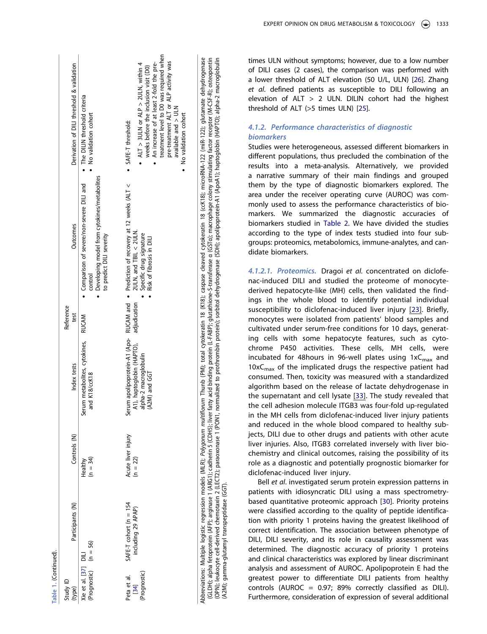|                      | Derivation of DILI threshold & validation | • The DILIN threshold criteria<br>No validation cohort                                                                           | treatment level to D0 was required when<br>pre-treatment ALT or ALP activity was<br>• An increase of at least 2-fold the pre-<br>$ALT > 3ULN$ or ALP $> 2ULN$ , within 4<br>weeks before the inclusion visit (D0)<br>available and $>$ ULN<br>No validation cohort<br>SAFE-T threshold: |
|----------------------|-------------------------------------------|----------------------------------------------------------------------------------------------------------------------------------|-----------------------------------------------------------------------------------------------------------------------------------------------------------------------------------------------------------------------------------------------------------------------------------------|
|                      | Outcomes                                  | Developing model from cytokines/metabolites<br>• Comparison of severe/non-severe DILI and<br>to predict DILI severity<br>control | erum apolipoprotein-A1 (Apo- RUCAM and • Prediction of recovery at 12 weeks (ALT <<br>$2ULN$ , and TBIL < $2ULN$ .<br>Specific drug signature<br>Risk of fibrosis in DILI                                                                                                               |
|                      | Reference<br>test                         | <b>RUCAM</b>                                                                                                                     | adjudication                                                                                                                                                                                                                                                                            |
|                      | Index tests                               | Serum metabolites, cytokines,<br>and K18/ccK18                                                                                   | A1), haptoglobin (HAPTO),<br>alpha-2 macroglobulin<br>(A2M) and GGT<br>U                                                                                                                                                                                                                |
|                      | Controls (N)                              | $(n = 34)$<br>Healthy                                                                                                            | Acute liver injury<br>$(n = 22)$                                                                                                                                                                                                                                                        |
|                      | Participants (N)                          |                                                                                                                                  | SAFE-T cohort ( $n = 154$<br>including 29 APAP)                                                                                                                                                                                                                                         |
| able 1. (Continued). | Study ID<br>(type)                        | $(Propostic)$ $(n = 56)$<br>Xie et al. [37] DILI                                                                                 | Prognostic)<br>Peta et al.<br>[34]                                                                                                                                                                                                                                                      |

(ccK18); microRNA-122 (miR-122); glutamate dehydrogenase (GLDH); alpha fetoprotein (AFP); arginas 1 (ARG1); catherin 5 (CDH5); liver fatty acid binding protein (LFABP); glutathione-S-transferase a (GSTd); macrophage colony stimulating factor receptor (M-CSF-R); osteopontin<br>(OPN) Abbreviations: Multiple logistic regression models (MLR); *Polygonum multiflorum* Thunb (PM); total cytokeratin 18 (K18); caspase cleaved cytokeratin 18 (ccK18); microRNA-122 (miR-122); glutamate dehydrogenase (GLDH); alpha fetoprotein (AFP); arginase 1 (ARG1); cadherin 5 (CDH5); liver fatty acid binding protein (L-FABP); glutathione-S-transferase α (GSTα); macrophage colony stimulating factor receptor (M-CSF-R); osteopontin (OPN); leukocyte cell-derived chemotaxin 2 (LECT2); paraoxonase 1 (PON1, normalized to prothrombin protein); sorbitol dehydrogenase (SDH); apolipoprotein-A1 (ApoA1); haptoglobin (HAPTO); alpha-2 macroglobulin Thunb (PM); total cytokeratin 18 (K18); caspase cleaved cytokeratin 18 Abbreviations: Multiple logistic regression models (MLR); Polygonum multiflorum (A2M); gamma-glutamyl transpeptidase (GGT). times ULN without symptoms; however, due to a low number of DILI cases (2 cases), the comparison was performed with a lower threshold of ALT elevation (50 U/L, ULN) [\[26\]](#page-17-2). Zhang *et al*. defined patients as susceptible to DILI following an elevation of  $ALT > 2$  ULN. DILIN cohort had the highest threshold of ALT (>5 times ULN) [[25](#page-16-24)].

## *4.1.2. Performance characteristics of diagnostic biomarkers*

Studies were heterogeneous, assessed different biomarkers in different populations, thus precluded the combination of the results into a meta-analysis. Alternatively, we provided a narrative summary of their main findings and grouped them by the type of diagnostic biomarkers explored. The area under the receiver operating curve (AUROC) was com monly used to assess the performance characteristics of bio markers. We summarized the diagnostic accuracies of biomarkers studied in [Table](#page-8-0)  2. We have divided the studies according to the type of index tests studied into four sub groups: proteomics, metabolomics, immune-analytes, and can didate biomarkers.

*4.1.2.1. Proteomics.* Dragoi *et al.* concentrated on diclofe nac-induced DILI and studied the proteome of monocytederived hepatocyte-like (MH) cells, then validated the findings in the whole blood to identify potential individual susceptibility to diclofenac-induced liver injury [\[23](#page-16-22)]. Briefly, monocytes were isolated from patients' blood samples and cultivated under serum-free conditions for 10 days, generat ing cells with some hepatocyte features, such as cyto chrome P450 activities. These cells, MH cells, were incubated for 48 hours in 96-well plates using  $1 \times C_{\text{max}}$  and  $10xC<sub>max</sub>$  of the implicated drugs the respective patient had consumed. Then, toxicity was measured with a standardized algorithm based on the release of lactate dehydrogenase in the supernatant and cell lysate [\[33](#page-17-9)]. The study revealed that the cell adhesion molecule ITGB3 was four-fold up-regulated in the MH cells from diclofenac-induced liver injury patients and reduced in the whole blood compared to healthy sub jects, DILI due to other drugs and patients with other acute liver injuries. Also, ITGB3 correlated inversely with liver bio chemistry and clinical outcomes, raising the possibility of its role as a diagnostic and potentially prognostic biomarker for diclofenac-induced liver injury.

<span id="page-7-2"></span><span id="page-7-1"></span><span id="page-7-0"></span>Bell *et al*. investigated serum protein expression patterns in patients with idiosyncratic DILI using a mass spectrometrybased quantitative proteomic approach [[30](#page-17-3)]. Priority proteins were classified according to the quality of peptide identifica tion with priority 1 proteins having the greatest likelihood of correct identification. The association between phenotype of DILI, DILI severity, and its role in causality assessment was determined. The diagnostic accuracy of priority 1 proteins and clinical characteristics was explored by linear discriminant analysis and assessment of AUROC. Apolipoprotein E had the greatest power to differentiate DILI patients from healthy controls (AUROC = 0.97; 89% correctly classified as DILI). Furthermore, consideration of expression of several additional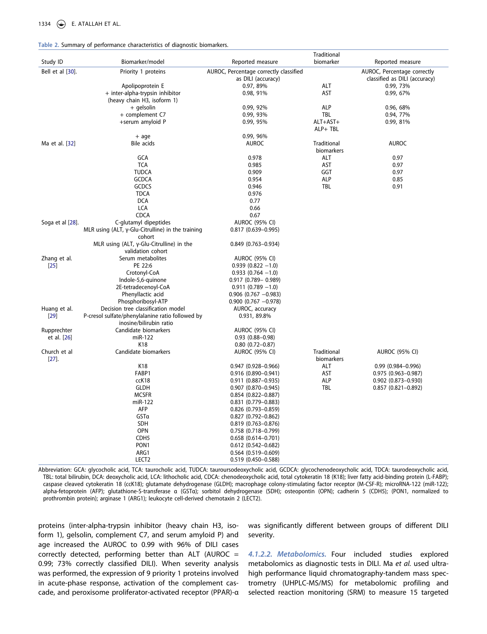<span id="page-8-0"></span>

|  |  |  | Table 2. Summary of performance characteristics of diagnostic biomarkers. |  |  |
|--|--|--|---------------------------------------------------------------------------|--|--|
|--|--|--|---------------------------------------------------------------------------|--|--|

|                  |                                                           |                                        | Traditional |                               |
|------------------|-----------------------------------------------------------|----------------------------------------|-------------|-------------------------------|
| Study ID         | Biomarker/model                                           | Reported measure                       | biomarker   | Reported measure              |
| Bell et al [30]. | Priority 1 proteins                                       | AUROC, Percentage correctly classified |             | AUROC, Percentage correctly   |
|                  |                                                           | as DILI (accuracy)                     |             | classified as DILI (accuracy) |
|                  | Apolipoprotein E                                          | 0.97, 89%                              | ALT         | 0.99, 73%                     |
|                  | + inter-alpha-trypsin inhibitor                           | 0.98, 91%                              | AST         | 0.99, 67%                     |
|                  | (heavy chain H3, isoform 1)                               |                                        |             |                               |
|                  | + gelsolin                                                | 0.99, 92%                              | <b>ALP</b>  | 0.96, 68%                     |
|                  | + complement C7                                           | 0.99, 93%                              | TBL         | 0.94, 77%                     |
|                  | +serum amyloid P                                          | 0.99, 95%                              | ALT+AST+    | 0.99, 81%                     |
|                  |                                                           |                                        |             |                               |
|                  |                                                           |                                        | ALP+ TBL    |                               |
|                  | $+$ age                                                   | 0.99, 96%                              |             |                               |
| Ma et al. [32]   | Bile acids                                                | <b>AUROC</b>                           | Traditional | <b>AUROC</b>                  |
|                  |                                                           |                                        | biomarkers  |                               |
|                  | <b>GCA</b>                                                | 0.978                                  | ALT         | 0.97                          |
|                  | <b>TCA</b>                                                | 0.985                                  | AST         | 0.97                          |
|                  | <b>TUDCA</b>                                              | 0.909                                  | GGT         | 0.97                          |
|                  | <b>GCDCA</b>                                              | 0.954                                  | ALP         | 0.85                          |
|                  | GCDCS                                                     | 0.946                                  | TBL         | 0.91                          |
|                  | <b>TDCA</b>                                               | 0.976                                  |             |                               |
|                  | <b>DCA</b>                                                | 0.77                                   |             |                               |
|                  | LCA                                                       | 0.66                                   |             |                               |
|                  | <b>CDCA</b>                                               | 0.67                                   |             |                               |
| Soga et al [28]. | C-glutamyl dipeptides                                     | <b>AUROC (95% CI)</b>                  |             |                               |
|                  | MLR using (ALT, $\gamma$ -Glu-Citrulline) in the training | $0.817(0.639 - 0.995)$                 |             |                               |
|                  | cohort                                                    |                                        |             |                               |
|                  | MLR using (ALT, γ-Glu-Citrulline) in the                  | $0.849$ (0.763-0.934)                  |             |                               |
|                  | validation cohort                                         |                                        |             |                               |
| Zhang et al.     | Serum metabolites                                         | <b>AUROC (95% CI)</b>                  |             |                               |
| $[25]$           | PE 22:6                                                   | $0.939(0.822 - 1.0)$                   |             |                               |
|                  | Crotonyl-CoA                                              | $0.933(0.764 - 1.0)$                   |             |                               |
|                  | Indole-5,6-quinone                                        | $0.917$ (0.789 - 0.989)                |             |                               |
|                  | 2E-tetradecenoyl-CoA                                      | $0.911(0.789 - 1.0)$                   |             |                               |
|                  | Phenyllactic acid                                         | $0.906$ (0.767 -0.983)                 |             |                               |
|                  | Phosphoribosyl-ATP                                        | $0.900$ (0.767 -0.978)                 |             |                               |
|                  |                                                           |                                        |             |                               |
| Huang et al.     | Decision tree classification model                        | AUROC, accuracy                        |             |                               |
| $[29]$           | P-cresol sulfate/phenylalanine ratio followed by          | 0.931, 89.8%                           |             |                               |
|                  | inosine/bilirubin ratio                                   |                                        |             |                               |
| Rupprechter      | Candidate biomarkers                                      | <b>AUROC (95% CI)</b>                  |             |                               |
| et al. [26]      | miR-122                                                   | $0.93$ $(0.88 - 0.98)$                 |             |                               |
|                  | K18                                                       | $0.80$ $(0.72 - 0.87)$                 |             |                               |
| Church et al     | Candidate biomarkers                                      | <b>AUROC (95% CI)</b>                  | Traditional | <b>AUROC (95% CI)</b>         |
| $[27]$ .         |                                                           |                                        | biomarkers  |                               |
|                  | K18                                                       | $0.947$ (0.928-0.966)                  | ALT         | 0.99 (0.984-0.996)            |
|                  | FABP1                                                     | 0.916 (0.890-0.941)                    | AST         | $0.975$ $(0.963 - 0.987)$     |
|                  | ccK18                                                     | $0.911(0.887 - 0.935)$                 | <b>ALP</b>  | $0.902$ $(0.873 - 0.930)$     |
|                  | <b>GLDH</b>                                               | $0.907$ $(0.870 - 0.945)$              | <b>TBL</b>  | $0.857$ (0.821-0.892)         |
|                  | <b>MCSFR</b>                                              | $0.854$ (0.822-0.887)                  |             |                               |
|                  | miR-122                                                   | 0.831 (0.779-0.883)                    |             |                               |
|                  | AFP                                                       | 0.826 (0.793-0.859)                    |             |                               |
|                  | GSTa                                                      | $0.827$ (0.792-0.862)                  |             |                               |
|                  | <b>SDH</b>                                                | $0.819$ (0.763-0.876)                  |             |                               |
|                  | <b>OPN</b>                                                | $0.758$ (0.718-0.799)                  |             |                               |
|                  | CDH <sub>5</sub>                                          | $0.658$ $(0.614 - 0.701)$              |             |                               |
|                  | PON <sub>1</sub>                                          |                                        |             |                               |
|                  |                                                           | $0.612(0.542 - 0.682)$                 |             |                               |
|                  | ARG1                                                      | $0.564$ (0.519-0.609)                  |             |                               |
|                  | LECT <sub>2</sub>                                         | $0.519$ (0.450-0.588)                  |             |                               |

Abbreviation: GCA: glycocholic acid, TCA: taurocholic acid, TUDCA: tauroursodeoxycholic acid, GCDCA: glycochenodeoxycholic acid, TDCA: taurodeoxycholic acid, TBL: total bilirubin, DCA: deoxycholic acid, LCA: lithocholic acid, CDCA: chenodeoxycholic acid, total cytokeratin 18 (K18); liver fatty acid-binding protein (L-FABP); caspase cleaved cytokeratin 18 (ccK18); glutamate dehydrogenase (GLDH); macrophage colony-stimulating factor receptor (M-CSF-R); microRNA-122 (miR-122); alpha-fetoprotein (AFP); glutathione-S-transferase α (GSTα); sorbitol dehydrogenase (SDH); osteopontin (OPN); cadherin 5 (CDH5); (PON1, normalized to prothrombin protein); arginase 1 (ARG1); leukocyte cell-derived chemotaxin 2 (LECT2).

proteins (inter-alpha-trypsin inhibitor (heavy chain H3, isoform 1), gelsolin, complement C7, and serum amyloid P) and age increased the AUROC to 0.99 with 96% of DILI cases correctly detected, performing better than ALT (AUROC  $=$ 0.99; 73% correctly classified DILI). When severity analysis was performed, the expression of 9 priority 1 proteins involved in acute-phase response, activation of the complement cascade, and peroxisome proliferator-activated receptor (PPAR)-α

was significantly different between groups of different DILI severity.

*4.1.2.2. Metabolomics.* Four included studies explored metabolomics as diagnostic tests in DILI. Ma *et al.* used ultrahigh performance liquid chromatography-tandem mass spectrometry (UHPLC-MS/MS) for metabolomic profiling and selected reaction monitoring (SRM) to measure 15 targeted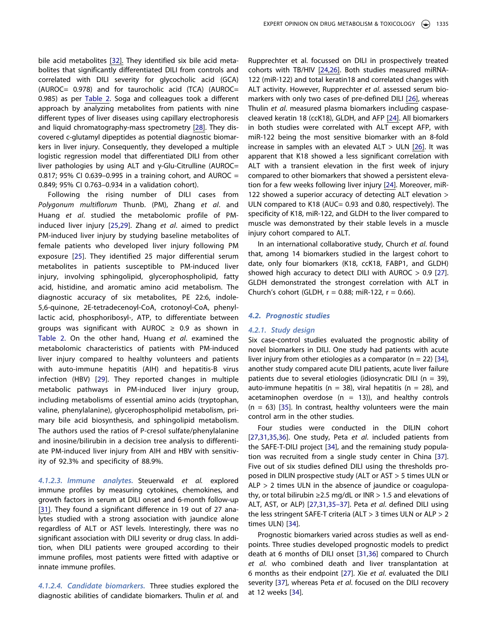bile acid metabolites [\[32\]](#page-17-6). They identified six bile acid metabolites that significantly differentiated DILI from controls and correlated with DILI severity for glycocholic acid (GCA) (AUROC= 0.978) and for taurocholic acid (TCA) (AUROC= 0.985) as per [Table 2](#page-8-0). Soga and colleagues took a different approach by analyzing metabolites from patients with nine different types of liver diseases using capillary electrophoresis and liquid chromatography-mass spectrometry [\[28](#page-17-0)]. They discovered c-glutamyl dipeptides as potential diagnostic biomarkers in liver injury. Consequently, they developed a multiple logistic regression model that differentiated DILI from other liver pathologies by using ALT and γ-Glu-Citrulline (AUROC= 0.817; 95% CI 0.639–0.995 in a training cohort, and AUROC = 0.849; 95% CI 0.763–0.934 in a validation cohort).

Following the rising number of DILI cases from *Polygonum multiflorum* Thunb. (PM), Zhang *et al*. and Huang *et al*. studied the metabolomic profile of PMinduced liver injury [\[25](#page-16-24)[,29](#page-17-1)]. Zhang *et al*. aimed to predict PM-induced liver injury by studying baseline metabolites of female patients who developed liver injury following PM exposure [[25\]](#page-16-24). They identified 25 major differential serum metabolites in patients susceptible to PM-induced liver injury, involving sphingolipid, glycerophospholipid, fatty acid, histidine, and aromatic amino acid metabolism. The diagnostic accuracy of six metabolites, PE 22:6, indole-5,6-quinone, 2E-tetradecenoyl-CoA, crotonoyl-CoA, phenyllactic acid, phosphoribosyl-, ATP, to differentiate between groups was significant with AUROC  $\geq$  0.9 as shown in [Table 2.](#page-8-0) On the other hand, Huang *et al*. examined the metabolomic characteristics of patients with PM-induced liver injury compared to healthy volunteers and patients with auto-immune hepatitis (AIH) and hepatitis-B virus infection (HBV) [[29\]](#page-17-1). They reported changes in multiple metabolic pathways in PM-induced liver injury group, including metabolisms of essential amino acids (tryptophan, valine, phenylalanine), glycerophospholipid metabolism, primary bile acid biosynthesis, and sphingolipid metabolism. The authors used the ratios of P-cresol sulfate/phenylalanine and inosine/bilirubin in a decision tree analysis to differentiate PM-induced liver injury from AIH and HBV with sensitivity of 92.3% and specificity of 88.9%.

*4.1.2.3. Immune analytes.* Steuerwald *et al.* explored immune profiles by measuring cytokines, chemokines, and growth factors in serum at DILI onset and 6-month follow-up [[31](#page-17-4)]. They found a significant difference in 19 out of 27 analytes studied with a strong association with jaundice alone regardless of ALT or AST levels. Interestingly, there was no significant association with DILI severity or drug class. In addition, when DILI patients were grouped according to their immune profiles, most patients were fitted with adaptive or innate immune profiles.

*4.1.2.4. Candidate biomarkers.* Three studies explored the diagnostic abilities of candidate biomarkers. Thulin *et al.* and Rupprechter et al. focussed on DILI in prospectively treated cohorts with TB/HIV [\[24,](#page-16-23)[26\]](#page-17-2). Both studies measured miRNA-122 (miR-122) and total keratin18 and correlated changes with ALT activity. However, Rupprechter *et al*. assessed serum biomarkers with only two cases of pre-defined DILI [[26](#page-17-2)], whereas Thulin *et al*. measured plasma biomarkers including caspasecleaved keratin 18 (ccK18), GLDH, and AFP [[24\]](#page-16-23). All biomarkers in both studies were correlated with ALT except AFP, with miR-122 being the most sensitive biomarker with an 8-fold increase in samples with an elevated  $ALT > ULN$  [[26\]](#page-17-2). It was apparent that K18 showed a less significant correlation with ALT with a transient elevation in the first week of injury compared to other biomarkers that showed a persistent elevation for a few weeks following liver injury [\[24\]](#page-16-23). Moreover, miR-122 showed a superior accuracy of detecting ALT elevation > ULN compared to K18 (AUC= 0.93 and 0.80, respectively). The specificity of K18, miR-122, and GLDH to the liver compared to muscle was demonstrated by their stable levels in a muscle injury cohort compared to ALT.

In an international collaborative study, Church *et al*. found that, among 14 biomarkers studied in the largest cohort to date, only four biomarkers (K18, ccK18, FABP1, and GLDH) showed high accuracy to detect DILI with AUROC  $> 0.9$  [\[27\]](#page-17-5). GLDH demonstrated the strongest correlation with ALT in Church's cohort (GLDH,  $r = 0.88$ ; miR-122,  $r = 0.66$ ).

## *4.2. Prognostic studies*

#### *4.2.1. Study design*

Six case-control studies evaluated the prognostic ability of novel biomarkers in DILI. One study had patients with acute liver injury from other etiologies as a comparator ( $n = 22$ ) [\[34\]](#page-17-11), another study compared acute DILI patients, acute liver failure patients due to several etiologies (idiosyncratic DILI ( $n = 39$ ), auto-immune hepatitis ( $n = 38$ ), viral hepatitis ( $n = 28$ ), and acetaminophen overdose  $(n = 13)$ , and healthy controls  $(n = 63)$  [[35\]](#page-17-7). In contrast, healthy volunteers were the main control arm in the other studies.

Four studies were conducted in the DILIN cohort [\[27](#page-17-5)[,31,](#page-17-4)[35,](#page-17-7)[36](#page-17-8)]. One study, Peta *et al*. included patients from the SAFE-T-DILI project [[34](#page-17-11)], and the remaining study population was recruited from a single study center in China [\[37\]](#page-17-10). Five out of six studies defined DILI using the thresholds proposed in DILIN prospective study (ALT or AST > 5 times ULN or  $ALP > 2$  times ULN in the absence of jaundice or coagulopathy, or total bilirubin ≥2.5 mg/dL or INR > 1.5 and elevations of ALT, AST, or ALP) [\[27](#page-17-5)[,31,](#page-17-4)[35–37](#page-17-7)]. Peta *et al*. defined DILI using the less stringent SAFE-T criteria (ALT > 3 times ULN or ALP > 2 times ULN) [\[34\]](#page-17-11).

Prognostic biomarkers varied across studies as well as endpoints. Three studies developed prognostic models to predict death at 6 months of DILI onset [\[31](#page-17-4)[,36\]](#page-17-8) compared to Church *et al*. who combined death and liver transplantation at 6 months as their endpoint [[27](#page-17-5)]. Xie *et al*. evaluated the DILI severity [\[37](#page-17-10)], whereas Peta *et al*. focused on the DILI recovery at 12 weeks [\[34\]](#page-17-11).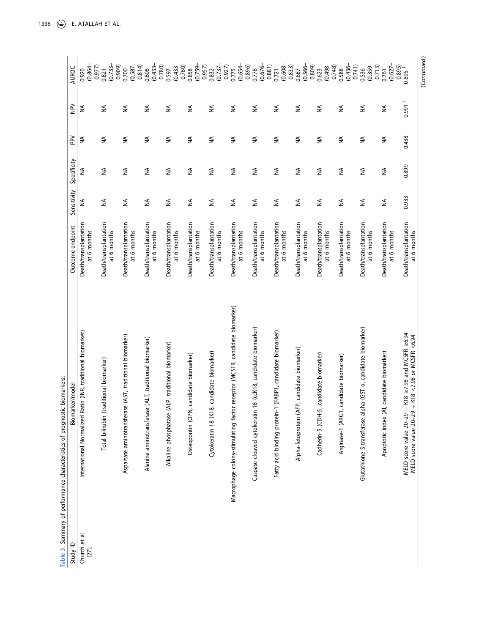<span id="page-10-0"></span>

| Study ID                 | Biomarker/model                                                                                                         | Outcome endpoint                     | Sensitivity        | Specificity   | PPV                  | $\geq$             | AUROC                                   |
|--------------------------|-------------------------------------------------------------------------------------------------------------------------|--------------------------------------|--------------------|---------------|----------------------|--------------------|-----------------------------------------|
| Church et al<br>$[27]$ . | Ratio (INR, traditional biomarker)<br>International Normalized I                                                        | Death/transplantation<br>at 6 months | ₹                  | ≨             | $\lessapprox$        | ₹                  | 0.977<br>$(0.864 -$<br>0.920            |
|                          | Total bilirubin (traditional biomarker)                                                                                 | Death/transplantation<br>at 6 months | ≨                  | $\lessgtr$    | ₹                    | $\lessgtr$         | $(0.733 -$<br>0.821                     |
|                          | Aspartate aminotransferase (AST, traditional biomarker)                                                                 | Death/transplantation<br>at 6 months | ₹                  | ₹             | ₹                    | ₹                  | $(0.587 -$<br>0.814)<br>(6060)<br>0.700 |
|                          | Alanine aminotransferase (ALT, traditional biomarker)                                                                   | Death/transplantation<br>at 6 months | $\lessapprox$      | ₹             | ₹                    | ₹                  | $(0.433 -$<br>0.780)<br>0.606           |
|                          | (ALP, traditional biomarker)<br>Alkaline phosphatase                                                                    | Death/transplantation<br>at 6 months | ≨                  | $\lessapprox$ | ≨                    | ₹                  | $(0.433 -$<br>0.597                     |
|                          | Osteopontin (OPN, candidate biomarker)                                                                                  | Death/transplantation<br>at 6 months | $\lessapprox$      | $\lessapprox$ | $\lessapprox$        | ₹                  | $(0.759 -$<br>0.957)<br>0.760)<br>0.858 |
|                          | 8, candidate biomarker)<br>Cytokeratin 18 (K1                                                                           | Death/transplantation<br>at 6 months | ≨                  | $\lessapprox$ | ₹                    | ₹                  | $(0.737 -$<br>0.927)<br>0.832           |
|                          | Macrophage colony-stimulating factor receptor (MCSFR, candidate biomarker)                                              | Death/transplantation<br>at 6 months | $\lessgtr$         | ₹             | ≨                    | ₹                  | $(0.654 -$<br>0.896)<br>0.775           |
|                          | Caspase cleaved cytokeratin 18 (ccK18, candidate biomarker)                                                             | Death/transplantation<br>at 6 months | ₹                  | ≨             | ₹                    | ₹                  | $(0.676 -$<br>0.881)<br>0.778           |
|                          | Fatty acid binding protein-1 (FABP1, candidate biomarker)                                                               | Death/transplantation<br>at 6 months | ≨                  | ₹             | ₹                    | ₹                  | $(0.608 -$<br>0.833)<br>0.721           |
|                          | Alpha-fetoprotein (AFP, candidate biomarker)                                                                            | Death/transplantation<br>at 6 months | ₹                  | ₹             | ₹                    | ₹                  | $(0.566 -$<br>0.809)<br>0.687           |
|                          | Cadherin-5 (CDH-5, candidate biomarker)                                                                                 | Death/transplantation<br>at 6 months | ≨                  | ≨             | ≨                    | ₹                  | $-864.0$<br>0.623                       |
|                          | Arginase-1 (ARG1, candidate biomarker)                                                                                  | Death/transplantation<br>at 6 months | ⋚                  | ₹             | ₹                    | ₹                  | $(0.436 -$<br>0.748<br>0.741)<br>0.588  |
|                          | Glutathione S-transferase alpha (GST-a, candidate biomarker)                                                            | Death/transplantation<br>at 6 months | ₹                  | ₹             | ₹                    | ₹                  | $(0.359 -$<br>0.713<br>0.536            |
|                          | Apoptotic index (AI, candidate biomarker)                                                                               | Death/transplantation<br>at 6 months | $\widetilde{\geq}$ | ≨             | ≸                    | ≸                  | $(0.627 -$<br>0.761                     |
|                          | + K18 $\ge$ 7.98 and MCSFR $\ge$ 6.94<br>+ K18 <7.98 or MCSFR <6.94<br>MELD score value 20-29<br>MELD score value 20-29 | Death/transplantation<br>at 6 months | 0.933              | 0.899         | $0.438$ <sup>+</sup> | $\ddot{}$<br>0.991 | $0.895$ <sup>+</sup>                    |

1336  $\circledast$  E. ATALLAH ET AL.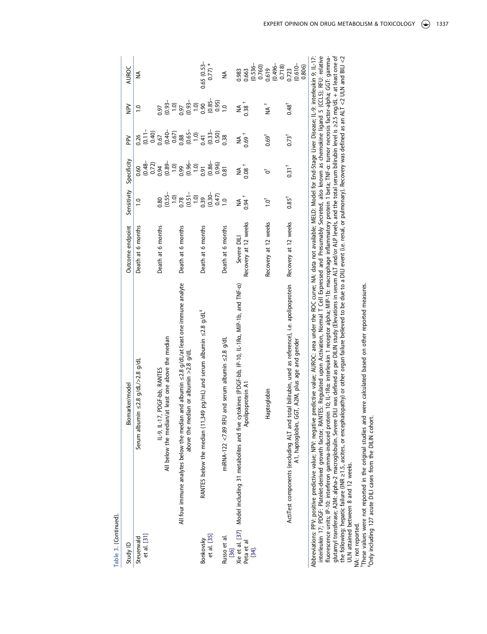| Table 3. (Continued).     |                                                                                                                                                                                                                                                                                                                                                                                                                  |                      |                                                                   |                                       |                                           |                         |                           |
|---------------------------|------------------------------------------------------------------------------------------------------------------------------------------------------------------------------------------------------------------------------------------------------------------------------------------------------------------------------------------------------------------------------------------------------------------|----------------------|-------------------------------------------------------------------|---------------------------------------|-------------------------------------------|-------------------------|---------------------------|
| Study ID                  | Biomarker/model                                                                                                                                                                                                                                                                                                                                                                                                  | Outcome endpoint     | Sensitivity                                                       | Specificity                           | <b>Ndd</b>                                | $\geq$                  | AUROC                     |
| et al. [31]<br>Steuerwald | Serum albumin $\leq$ 2.8 g/dL/>2.8 g/dL                                                                                                                                                                                                                                                                                                                                                                          | Death at 6 months    | $\frac{0}{1}$                                                     | $(0.48 - 0.72)$<br>0.72)<br>0.60      | $(0.11 -$<br>$0.40)$<br>$0.57$<br>0.26    | $\ddot{ }$              | ≨                         |
|                           | PDGF-bb, RANTES<br>$1-9, 1-17,$                                                                                                                                                                                                                                                                                                                                                                                  | Death at 6 months    | 0.80                                                              |                                       |                                           | 0.97                    |                           |
|                           | All below the median/at least one above the median                                                                                                                                                                                                                                                                                                                                                               |                      | $(0.55 -$                                                         | $(0.89 - 1.0)$                        |                                           | $(0.93 - 1.0)$<br>0.97  |                           |
|                           | All four immune analytes below the median and albumin $\leq$ 2.8 g/dL/at least one immune analyte                                                                                                                                                                                                                                                                                                                | Death at 6 months    |                                                                   |                                       |                                           |                         |                           |
|                           | above the median or albumin >2.8 $g/dL$                                                                                                                                                                                                                                                                                                                                                                          |                      | $100$<br>$0.78$<br>$0.51$<br>$0.39$<br>$0.30$<br>$0.47$<br>$0.47$ | $0.99$<br>$0.96 -$<br>$1.0$<br>$0.91$ | $(0.40 - 0.67)$<br>0.67)<br>0.65–<br>0.41 | $(0.93 -$               |                           |
| Bonkovsky                 | RANTES below the median (11,349 pg/mL) and serum albumin ≤2.8 g/dL <sup>#</sup>                                                                                                                                                                                                                                                                                                                                  | Death at 6 months    |                                                                   |                                       |                                           | $\frac{0.00}{0.5}$      | $0.65(0.53 -$             |
| et al. [35]               |                                                                                                                                                                                                                                                                                                                                                                                                                  |                      |                                                                   | $\frac{0.86}{0.96}$                   | $(0.33 -$                                 | $(0.85 - 0.01)$         | $0.77) *$                 |
|                           |                                                                                                                                                                                                                                                                                                                                                                                                                  |                      |                                                                   |                                       | 0.50)                                     |                         |                           |
| Russo et al.<br>$[36]$    | and serum albumin $\leq$ 2.8 g/dL<br>miRNA-122 <7.89 RFU                                                                                                                                                                                                                                                                                                                                                         | Death at 6 months    | $\overline{0}$                                                    | 0.81                                  | 0.38                                      | $\overline{0}$          | ≸                         |
|                           | Xie et al. [37] Model including 31 metabolites and five cytokines (PDGF-bb, IP-10, IL-1Ra, MIP-1b, and TNF-a)                                                                                                                                                                                                                                                                                                    | Severe DIL           | ≸                                                                 | ≸                                     | $M_{0.69}$                                | $M_{0.38}$ <sup>+</sup> | 0.983                     |
| Peta et al                | Apolipoprotein A1                                                                                                                                                                                                                                                                                                                                                                                                | Recovery at 12 weeks | $0.94 +$                                                          | $0.08+$                               |                                           |                         | 0.663                     |
| [34].                     |                                                                                                                                                                                                                                                                                                                                                                                                                  |                      |                                                                   |                                       |                                           |                         | $(0.536 - 0.760)$         |
|                           | Haptoglobin                                                                                                                                                                                                                                                                                                                                                                                                      | Recovery at 12 weeks | $1.0^{+}$                                                         | Ъ                                     | $0.69^\dagger$                            | †<br>≦                  | 0.619                     |
|                           |                                                                                                                                                                                                                                                                                                                                                                                                                  |                      |                                                                   |                                       |                                           |                         | $-964.0$<br>0.718         |
|                           | ActiTest components (excluding ALT and total bilirubin, used as reference), i.e. apolipoprotein                                                                                                                                                                                                                                                                                                                  | Recovery at 12 weeks | $0.85^{\dagger}$                                                  | $0.31^{+}$                            | $0.73^{+}$                                | $0.48^+$                | 0.723                     |
|                           | A1, haptoglobin, GGT, A2M, plus age and gender                                                                                                                                                                                                                                                                                                                                                                   |                      |                                                                   |                                       |                                           |                         | $\frac{(0.610 -}{0.806})$ |
|                           | interleukin 17; PDGF: Platelet-derived growth factor; RANTES: Regulated upon Activation, Normal T Cell Expressed and Presumably Secreted, also known as chemokine ligand 5 (CCL5); RFU: relative<br>Abbreviations: PPV: positive predictive value; NPV: negative predictive value; AUROC: area under the ROC curve; NA: data not available; MELD: Model for End-Stage Liver Disease; IL-9: interleukin 9; IL-17: |                      |                                                                   |                                       |                                           |                         |                           |

fluorescence units; IP-10: interferon gamma-induced protein 10; IL-1Rα interleukin 1 receptor alpha; MIP-1b: macrophage inflammatory protein 1 beta; TNF-α: tumor necrosis factor-alpha; GGT: gamma-<br>glutamyl transferase; A2M glutamyl transferase; A2M: alpha-2 macroglobulin. Severe DILI was defined as per DILIN study (Elevations in serum ALT and/or ALP levels, and the total serum bilirubin level is ≥2.5 mg/dL + at least one of the following: hepatic failure (INR ≥1.5, ascites, or encephalopathy) or other organ failure believed to be due to a DILI event (i.e. renal, or pulmonary). Recovery was defined as an ALT <2 ULN and BILI <2 fluorescence units; IP-10: interferon gamma-induced protein 10; IL-1Rα: interleukin 1 receptor alpha; MIP-1b: macrophage inflammatory protein 1 beta; TNF-α: tumor necrosis factor-alpha; GGT: gamma-ULN attained between 8 and 12 weeks.

NA: not reported.<br>"These values were not reported in the original studies and were calculated based on other reported measures.<br>"Only including 127 acute DILI cases from the DILIN cohort. NA: not reported.<br>†These values were not reported in the original studies and were calculated based on other reported measures.<br>†Only including 127 acute DILI cases from the DILIN cohort.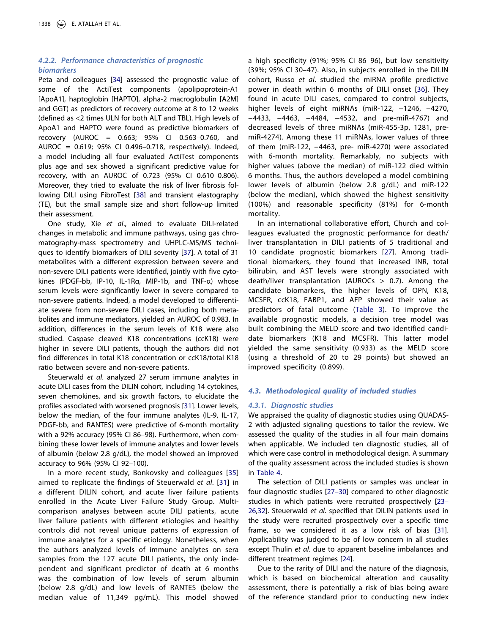## *4.2.2. Performance characteristics of prognostic biomarkers*

Peta and colleagues [[34\]](#page-17-11) assessed the prognostic value of some of the ActiTest components (apolipoprotein-A1 [ApoA1], haptoglobin [HAPTO], alpha-2 macroglobulin [A2M] and GGT) as predictors of recovery outcome at 8 to 12 weeks (defined as <2 times ULN for both ALT and TBL). High levels of ApoA1 and HAPTO were found as predictive biomarkers of recovery (AUROC = 0.663; 95% CI 0.563–0.760, and AUROC = 0.619; 95% CI 0.496–0.718, respectively). Indeed, a model including all four evaluated ActiTest components plus age and sex showed a significant predictive value for recovery, with an AUROC of 0.723 (95% CI 0.610–0.806). Moreover, they tried to evaluate the risk of liver fibrosis following DILI using FibroTest [\[38](#page-17-12)] and transient elastography (TE), but the small sample size and short follow-up limited their assessment.

<span id="page-12-0"></span>One study, Xie *et al*., aimed to evaluate DILI-related changes in metabolic and immune pathways, using gas chromatography-mass spectrometry and UHPLC-MS/MS techniques to identify biomarkers of DILI severity [[37](#page-17-10)]. A total of 31 metabolites with a different expression between severe and non-severe DILI patients were identified, jointly with five cytokines (PDGF-bb, IP-10, IL-1Rα, MIP-1b, and TNF-α) whose serum levels were significantly lower in severe compared to non-severe patients. Indeed, a model developed to differentiate severe from non-severe DILI cases, including both metabolites and immune mediators, yielded an AUROC of 0.983. In addition, differences in the serum levels of K18 were also studied. Caspase cleaved K18 concentrations (ccK18) were higher in severe DILI patients, though the authors did not find differences in total K18 concentration or ccK18/total K18 ratio between severe and non-severe patients.

Steuerwald *et al*. analyzed 27 serum immune analytes in acute DILI cases from the DILIN cohort, including 14 cytokines, seven chemokines, and six growth factors, to elucidate the profiles associated with worsened prognosis [\[31](#page-17-4)]. Lower levels, below the median, of the four immune analytes (IL-9, IL-17, PDGF-bb, and RANTES) were predictive of 6-month mortality with a 92% accuracy (95% CI 86–98). Furthermore, when combining these lower levels of immune analytes and lower levels of albumin (below 2.8 g/dL), the model showed an improved accuracy to 96% (95% CI 92–100).

In a more recent study, Bonkovsky and colleagues [[35](#page-17-7)] aimed to replicate the findings of Steuerwald *et al*. [\[31](#page-17-4)] in a different DILIN cohort, and acute liver failure patients enrolled in the Acute Liver Failure Study Group. Multicomparison analyses between acute DILI patients, acute liver failure patients with different etiologies and healthy controls did not reveal unique patterns of expression of immune analytes for a specific etiology. Nonetheless, when the authors analyzed levels of immune analytes on sera samples from the 127 acute DILI patients, the only independent and significant predictor of death at 6 months was the combination of low levels of serum albumin (below 2.8 g/dL) and low levels of RANTES (below the median value of 11,349 pg/mL). This model showed

a high specificity (91%; 95% CI 86–96), but low sensitivity (39%; 95% CI 30–47). Also, in subjects enrolled in the DILIN cohort, Russo *et al*. studied the miRNA profile predictive power in death within 6 months of DILI onset [[36](#page-17-8)]. They found in acute DILI cases, compared to control subjects, higher levels of eight miRNAs (miR-122, −1246, −4270, −4433, −4463, −4484, −4532, and pre-miR-4767) and decreased levels of three miRNAs (miR-455-3p, 1281, premiR-4274). Among these 11 miRNAs, lower values of three of them (miR-122, −4463, pre- miR-4270) were associated with 6-month mortality. Remarkably, no subjects with higher values (above the median) of miR-122 died within 6 months. Thus, the authors developed a model combining lower levels of albumin (below 2.8 g/dL) and miR-122 (below the median), which showed the highest sensitivity (100%) and reasonable specificity (81%) for 6-month mortality.

In an international collaborative effort, Church and colleagues evaluated the prognostic performance for death/ liver transplantation in DILI patients of 5 traditional and 10 candidate prognostic biomarkers [[27](#page-17-5)]. Among traditional biomarkers, they found that increased INR, total bilirubin, and AST levels were strongly associated with death/liver transplantation (AUROCs  $> 0.7$ ). Among the candidate biomarkers, the higher levels of OPN, K18, MCSFR, ccK18, FABP1, and AFP showed their value as predictors of fatal outcome ([Table 3\)](#page-10-0). To improve the available prognostic models, a decision tree model was built combining the MELD score and two identified candidate biomarkers (K18 and MCSFR). This latter model yielded the same sensitivity (0.933) as the MELD score (using a threshold of 20 to 29 points) but showed an improved specificity (0.899).

## *4.3. Methodological quality of included studies*

#### *4.3.1. Diagnostic studies*

We appraised the quality of diagnostic studies using QUADAS-2 with adjusted signaling questions to tailor the review. We assessed the quality of the studies in all four main domains when applicable. We included ten diagnostic studies, all of which were case control in methodological design. A summary of the quality assessment across the included studies is shown in [Table 4](#page-13-0).

The selection of DILI patients or samples was unclear in four diagnostic studies [\[27–30\]](#page-17-5) compared to other diagnostic studies in which patients were recruited prospectively [[23–](#page-16-22) [26](#page-16-22)[,32](#page-17-6)]. Steuerwald *et al*. specified that DILIN patients used in the study were recruited prospectively over a specific time frame, so we considered it as a low risk of bias [\[31\]](#page-17-4). Applicability was judged to be of low concern in all studies except Thulin *et al*. due to apparent baseline imbalances and different treatment regimes [[24](#page-16-23)].

Due to the rarity of DILI and the nature of the diagnosis, which is based on biochemical alteration and causality assessment, there is potentially a risk of bias being aware of the reference standard prior to conducting new index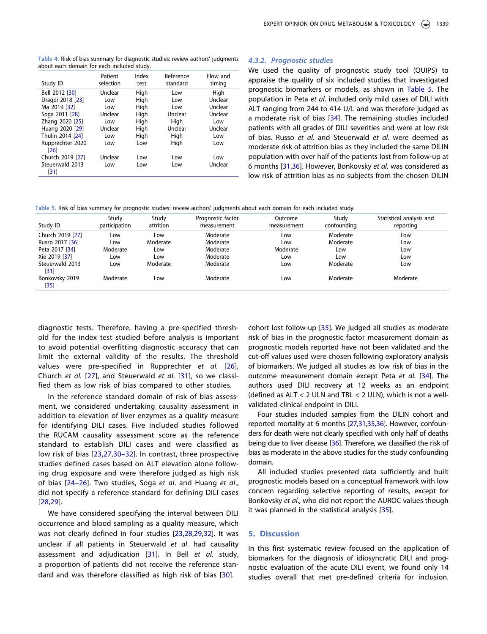<span id="page-13-0"></span>**Table 4.** Risk of bias summary for diagnostic studies: review authors' judgments about each domain for each included study.

| Study ID                                            | Patient        | Index      | Reference  | Flow and       |
|-----------------------------------------------------|----------------|------------|------------|----------------|
|                                                     | selection      | test       | standard   | timing         |
| Bell 2012 [30]                                      | Unclear        | High       | Low        | High           |
| Dragoi 2018 [23]                                    | Low            | High       | Low        | Unclear        |
| Ma 2019 [32]                                        | Low            | High       | Low        | Unclear        |
| Soga 2011 [28]                                      | Unclear        | High       | Unclear    | Unclear        |
| Zhang 2020 [25]                                     | Low            | High       | High       | Low            |
| Huang 2020 [29]                                     | Unclear        | High       | Unclear    | Unclear        |
| Thulin 2014 [24]                                    | Low            | High       | High       | Low            |
| Rupprechter 2020                                    | Low            | Low        | High       | Low            |
| [26]<br>Church 2019 [27]<br>Steuerwald 2013<br>[31] | Unclear<br>Low | Low<br>Low | Low<br>Low | Low<br>Unclear |

#### *4.3.2. Prognostic studies*

We used the quality of prognostic study tool (QUIPS) to appraise the quality of six included studies that investigated prognostic biomarkers or models, as shown in [Table 5.](#page-13-1) The population in Peta *et al*. included only mild cases of DILI with ALT ranging from 244 to 414 U/L and was therefore judged as a moderate risk of bias [\[34](#page-17-11)]. The remaining studies included patients with all grades of DILI severities and were at low risk of bias. Russo *et al*. and Steuerwald *et al*. were deemed as moderate risk of attrition bias as they included the same DILIN population with over half of the patients lost from follow-up at 6 months [[31](#page-17-4)[,36](#page-17-8)]. However, Bonkovsky *et al.* was considered as low risk of attrition bias as no subjects from the chosen DILIN

<span id="page-13-1"></span>**Table 5.** Risk of bias summary for prognostic studies: review authors' judgments about each domain for each included study.

| Study ID                | Study<br>participation | Study<br>attrition | Prognostic factor<br>measurement | Outcome<br>measurement | Study<br>confounding | Statistical analysis and<br>reporting |
|-------------------------|------------------------|--------------------|----------------------------------|------------------------|----------------------|---------------------------------------|
| Church 2019 [27]        | Low                    | Low                | Moderate                         | Low                    | Moderate             | Low                                   |
| Russo 2017 [36]         | Low                    | Moderate           | Moderate                         | Low                    | Moderate             | Low                                   |
| Peta 2017 [34]          | Moderate               | Low                | Moderate                         | Moderate               | Low                  | Low                                   |
| Xie 2019 [37]           | Low                    | Low                | Moderate                         | Low                    | Low                  | Low                                   |
| Steuerwald 2013<br>[31] | Low                    | Moderate           | Moderate                         | Low                    | Moderate             | Low                                   |
| Bonkovsky 2019<br>[35]  | Moderate               | Low                | Moderate                         | Low                    | Moderate             | Moderate                              |

diagnostic tests. Therefore, having a pre-specified threshold for the index test studied before analysis is important to avoid potential overfitting diagnostic accuracy that can limit the external validity of the results. The threshold values were pre-specified in Rupprechter *et al.* [[26\]](#page-17-2), Church *et al.* [\[27](#page-17-5)], and Steuerwald *et al.* [[31](#page-17-4)], so we classified them as low risk of bias compared to other studies.

In the reference standard domain of risk of bias assessment, we considered undertaking causality assessment in addition to elevation of liver enzymes as a quality measure for identifying DILI cases. Five included studies followed the RUCAM causality assessment score as the reference standard to establish DILI cases and were classified as low risk of bias [\[23](#page-16-22),[27,](#page-17-5)[30–32](#page-17-3)]. In contrast, three prospective studies defined cases based on ALT elevation alone following drug exposure and were therefore judged as high risk of bias [[24–26\]](#page-16-23). Two studies, Soga *et al*. and Huang *et al*., did not specify a reference standard for defining DILI cases [[28](#page-17-0)[,29](#page-17-1)].

We have considered specifying the interval between DILI occurrence and blood sampling as a quality measure, which was not clearly defined in four studies [[23,](#page-16-22)[28,](#page-17-0)[29,](#page-17-1)[32\]](#page-17-6). It was unclear if all patients in Steuerwald *et al*. had causality assessment and adjudication [[31\]](#page-17-4). In Bell *et al*. study, a proportion of patients did not receive the reference standard and was therefore classified as high risk of bias [[30\]](#page-17-3).

cohort lost follow-up [[35\]](#page-17-7). We judged all studies as moderate risk of bias in the prognostic factor measurement domain as prognostic models reported have not been validated and the cut-off values used were chosen following exploratory analysis of biomarkers. We judged all studies as low risk of bias in the outcome measurement domain except Peta *et al.* [[34](#page-17-11)]. The authors used DILI recovery at 12 weeks as an endpoint (defined as ALT < 2 ULN and TBL < 2 ULN), which is not a wellvalidated clinical endpoint in DILI.

Four studies included samples from the DILIN cohort and reported mortality at 6 months [\[27,](#page-17-5)[31,](#page-17-4)[35](#page-17-7)[,36](#page-17-8)]. However, confounders for death were not clearly specified with only half of deaths being due to liver disease [\[36](#page-17-8)]. Therefore, we classified the risk of bias as moderate in the above studies for the study confounding domain.

All included studies presented data sufficiently and built prognostic models based on a conceptual framework with low concern regarding selective reporting of results, except for Bonkovsky *et al*., who did not report the AUROC values though it was planned in the statistical analysis [[35](#page-17-7)].

## **5. Discussion**

In this first systematic review focused on the application of biomarkers for the diagnosis of idiosyncratic DILI and prognostic evaluation of the acute DILI event, we found only 14 studies overall that met pre-defined criteria for inclusion.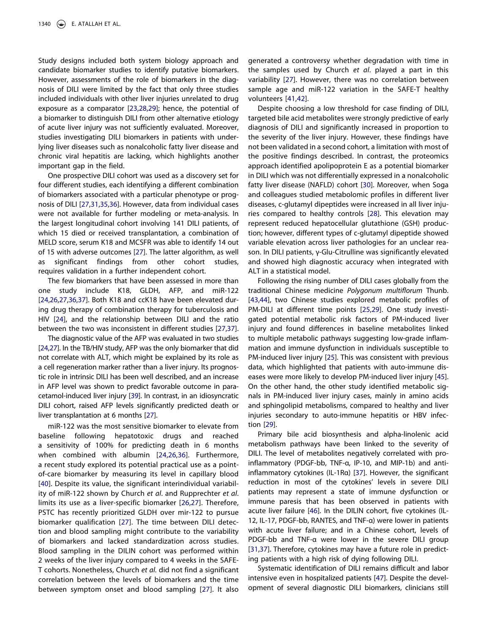Study designs included both system biology approach and candidate biomarker studies to identify putative biomarkers. However, assessments of the role of biomarkers in the diagnosis of DILI were limited by the fact that only three studies included individuals with other liver injuries unrelated to drug exposure as a comparator [\[23,](#page-16-22)[28,](#page-17-0)[29](#page-17-1)]; hence, the potential of a biomarker to distinguish DILI from other alternative etiology of acute liver injury was not sufficiently evaluated. Moreover, studies investigating DILI biomarkers in patients with underlying liver diseases such as nonalcoholic fatty liver disease and chronic viral hepatitis are lacking, which highlights another important gap in the field.

One prospective DILI cohort was used as a discovery set for four different studies, each identifying a different combination of biomarkers associated with a particular phenotype or prognosis of DILI [[27,](#page-17-5)[31](#page-17-4)[,35](#page-17-7),[36\]](#page-17-8). However, data from individual cases were not available for further modeling or meta-analysis. In the largest longitudinal cohort involving 141 DILI patients, of which 15 died or received transplantation, a combination of MELD score, serum K18 and MCSFR was able to identify 14 out of 15 with adverse outcomes [[27](#page-17-5)]. The latter algorithm, as well as significant findings from other cohort studies, requires validation in a further independent cohort.

The few biomarkers that have been assessed in more than one study include K18, GLDH, AFP, and miR-122 [[24](#page-16-23)[,26](#page-17-2)[,27,](#page-17-5)[36,](#page-17-8)[37](#page-17-10)]. Both K18 and ccK18 have been elevated during drug therapy of combination therapy for tuberculosis and HIV [[24](#page-16-23)], and the relationship between DILI and the ratio between the two was inconsistent in different studies [[27](#page-17-5)[,37](#page-17-10)].

The diagnostic value of the AFP was evaluated in two studies [[24](#page-16-23)[,27\]](#page-17-5). In the TB/HIV study, AFP was the only biomarker that did not correlate with ALT, which might be explained by its role as a cell regeneration marker rather than a liver injury. Its prognostic role in intrinsic DILI has been well described, and an increase in AFP level was shown to predict favorable outcome in paracetamol-induced liver injury [[39](#page-17-13)]. In contrast, in an idiosyncratic DILI cohort, raised AFP levels significantly predicted death or liver transplantation at 6 months [\[27\]](#page-17-5).

<span id="page-14-1"></span><span id="page-14-0"></span>miR-122 was the most sensitive biomarker to elevate from baseline following hepatotoxic drugs and reached a sensitivity of 100% for predicting death in 6 months when combined with albumin [[24,](#page-16-23)[26](#page-17-2),[36](#page-17-8)]. Furthermore, a recent study explored its potential practical use as a pointof-care biomarker by measuring its level in capillary blood [[40\]](#page-17-14). Despite its value, the significant interindividual variability of miR-122 shown by Church *et al*. and Rupprechter *et al*. limits its use as a liver-specific biomarker [[26,](#page-17-2)[27\]](#page-17-5). Therefore, PSTC has recently prioritized GLDH over mir-122 to pursue biomarker qualification [[27\]](#page-17-5). The time between DILI detection and blood sampling might contribute to the variability of biomarkers and lacked standardization across studies. Blood sampling in the DILIN cohort was performed within 2 weeks of the liver injury compared to 4 weeks in the SAFE-T cohorts. Nonetheless, Church *et al.* did not find a significant correlation between the levels of biomarkers and the time between symptom onset and blood sampling [[27\]](#page-17-5). It also

generated a controversy whether degradation with time in the samples used by Church *et al*. played a part in this variability [\[27](#page-17-5)]. However, there was no correlation between sample age and miR-122 variation in the SAFE-T healthy volunteers [[41,](#page-17-15)[42\]](#page-17-16).

<span id="page-14-2"></span>Despite choosing a low threshold for case finding of DILI, targeted bile acid metabolites were strongly predictive of early diagnosis of DILI and significantly increased in proportion to the severity of the liver injury. However, these findings have not been validated in a second cohort, a limitation with most of the positive findings described. In contrast, the proteomics approach identified apolipoprotein E as a potential biomarker in DILI which was not differentially expressed in a nonalcoholic fatty liver disease (NAFLD) cohort [\[30\]](#page-17-3). Moreover, when Soga and colleagues studied metabolomic profiles in different liver diseases, c-glutamyl dipeptides were increased in all liver injuries compared to healthy controls [[28](#page-17-0)]. This elevation may represent reduced hepatocellular glutathione (GSH) production; however, different types of c-glutamyl dipeptide showed variable elevation across liver pathologies for an unclear reason. In DILI patients, γ-Glu-Citrulline was significantly elevated and showed high diagnostic accuracy when integrated with ALT in a statistical model.

<span id="page-14-3"></span>Following the rising number of DILI cases globally from the traditional Chinese medicine *Polygonum multiflorum* Thunb. [\[43](#page-17-17)[,44\]](#page-17-18), two Chinese studies explored metabolic profiles of PM-DILI at different time points [\[25](#page-16-24)[,29\]](#page-17-1). One study investigated potential metabolic risk factors of PM-induced liver injury and found differences in baseline metabolites linked to multiple metabolic pathways suggesting low-grade inflammation and immune dysfunction in individuals susceptible to PM-induced liver injury [\[25\]](#page-16-24). This was consistent with previous data, which highlighted that patients with auto-immune diseases were more likely to develop PM-induced liver injury [\[45\]](#page-17-19). On the other hand, the other study identified metabolic signals in PM-induced liver injury cases, mainly in amino acids and sphingolipid metabolisms, compared to healthy and liver injuries secondary to auto-immune hepatitis or HBV infection [\[29](#page-17-1)].

<span id="page-14-4"></span>Primary bile acid biosynthesis and alpha-linolenic acid metabolism pathways have been linked to the severity of DILI. The level of metabolites negatively correlated with proinflammatory (PDGF-bb, TNF-α, IP-10, and MIP-1b) and antiinflammatory cytokines (IL-1Rα) [[37\]](#page-17-10). However, the significant reduction in most of the cytokines' levels in severe DILI patients may represent a state of immune dysfunction or immune paresis that has been observed in patients with acute liver failure [[46](#page-17-20)]. In the DILIN cohort, five cytokines (IL-12, IL-17, PDGF-bb, RANTES, and TNF-α) were lower in patients with acute liver failure; and in a Chinese cohort, levels of PDGF-bb and TNF-α were lower in the severe DILI group [\[31](#page-17-4)[,37\]](#page-17-10). Therefore, cytokines may have a future role in predicting patients with a high risk of dying following DILI.

<span id="page-14-6"></span><span id="page-14-5"></span>Systematic identification of DILI remains difficult and labor intensive even in hospitalized patients [[47](#page-17-21)]. Despite the development of several diagnostic DILI biomarkers, clinicians still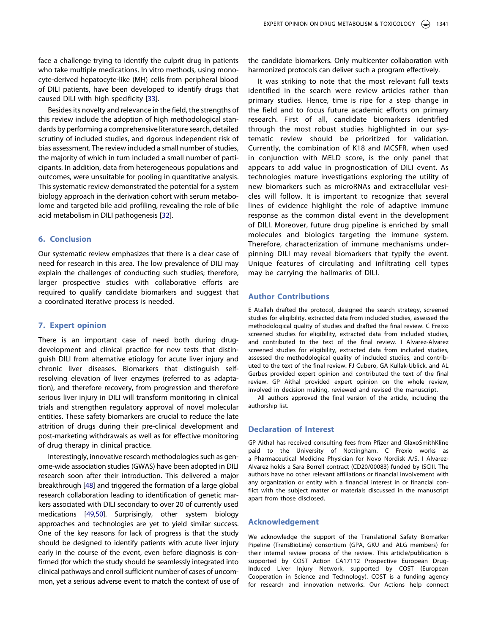face a challenge trying to identify the culprit drug in patients who take multiple medications. In vitro methods, using monocyte-derived hepatocyte-like (MH) cells from peripheral blood of DILI patients, have been developed to identify drugs that caused DILI with high specificity [[33\]](#page-17-9).

Besides its novelty and relevance in the field, the strengths of this review include the adoption of high methodological standards by performing a comprehensive literature search, detailed scrutiny of included studies, and rigorous independent risk of bias assessment. The review included a small number of studies, the majority of which in turn included a small number of participants. In addition, data from heterogeneous populations and outcomes, were unsuitable for pooling in quantitative analysis. This systematic review demonstrated the potential for a system biology approach in the derivation cohort with serum metabolome and targeted bile acid profiling, revealing the role of bile acid metabolism in DILI pathogenesis [[32](#page-17-6)].

## **6. Conclusion**

Our systematic review emphasizes that there is a clear case of need for research in this area. The low prevalence of DILI may explain the challenges of conducting such studies; therefore, larger prospective studies with collaborative efforts are required to qualify candidate biomarkers and suggest that a coordinated iterative process is needed.

## **7. Expert opinion**

There is an important case of need both during drugdevelopment and clinical practice for new tests that distinguish DILI from alternative etiology for acute liver injury and chronic liver diseases. Biomarkers that distinguish selfresolving elevation of liver enzymes (referred to as adaptation), and therefore recovery, from progression and therefore serious liver injury in DILI will transform monitoring in clinical trials and strengthen regulatory approval of novel molecular entities. These safety biomarkers are crucial to reduce the late attrition of drugs during their pre-clinical development and post-marketing withdrawals as well as for effective monitoring of drug therapy in clinical practice.

<span id="page-15-1"></span><span id="page-15-0"></span>Interestingly, innovative research methodologies such as genome-wide association studies (GWAS) have been adopted in DILI research soon after their introduction. This delivered a major breakthrough [\[48\]](#page-17-22) and triggered the formation of a large global research collaboration leading to identification of genetic markers associated with DILI secondary to over 20 of currently used medications [\[49,](#page-17-23)[50](#page-17-24)]. Surprisingly, other system biology approaches and technologies are yet to yield similar success. One of the key reasons for lack of progress is that the study should be designed to identify patients with acute liver injury early in the course of the event, even before diagnosis is confirmed (for which the study should be seamlessly integrated into clinical pathways and enroll sufficient number of cases of uncommon, yet a serious adverse event to match the context of use of the candidate biomarkers. Only multicenter collaboration with harmonized protocols can deliver such a program effectively.

It was striking to note that the most relevant full texts identified in the search were review articles rather than primary studies. Hence, time is ripe for a step change in the field and to focus future academic efforts on primary research. First of all, candidate biomarkers identified through the most robust studies highlighted in our systematic review should be prioritized for validation. Currently, the combination of K18 and MCSFR, when used in conjunction with MELD score, is the only panel that appears to add value in prognostication of DILI event. As technologies mature investigations exploring the utility of new biomarkers such as microRNAs and extracellular vesicles will follow. It is important to recognize that several lines of evidence highlight the role of adaptive immune response as the common distal event in the development of DILI. Moreover, future drug pipeline is enriched by small molecules and biologics targeting the immune system. Therefore, characterization of immune mechanisms underpinning DILI may reveal biomarkers that typify the event. Unique features of circulating and infiltrating cell types may be carrying the hallmarks of DILI.

## **Author Contributions**

E Atallah drafted the protocol, designed the search strategy, screened studies for eligibility, extracted data from included studies, assessed the methodological quality of studies and drafted the final review. C Freixo screened studies for eligibility, extracted data from included studies, and contributed to the text of the final review. I Alvarez-Alvarez screened studies for eligibility, extracted data from included studies, assessed the methodological quality of included studies, and contributed to the text of the final review. FJ Cubero, GA Kullak-Ublick, and AL Gerbes provided expert opinion and contributed the text of the final review. GP Aithal provided expert opinion on the whole review, involved in decision making, reviewed and revised the manuscript.

All authors approved the final version of the article, including the authorship list.

## **Declaration of Interest**

GP Aithal has received consulting fees from Pfizer and GlaxoSmithKline paid to the University of Nottingham. C Frexio works as a Pharmaceutical Medicine Physician for Novo Nordisk A/S. I Alvarez-Alvarez holds a Sara Borrell contract (CD20/00083) funded by ISCIII. The authors have no other relevant affiliations or financial involvement with any organization or entity with a financial interest in or financial conflict with the subject matter or materials discussed in the manuscript apart from those disclosed.

### **Acknowledgement**

We acknowledge the support of the Translational Safety Biomarker Pipeline (TransBioLine) consortium (GPA, GKU and ALG members) for their internal review process of the review. This article/publication is supported by COST Action CA17112 Prospective European Drug-Induced Liver Injury Network, supported by COST (European Cooperation in Science and Technology). COST is a funding agency for research and innovation networks. Our Actions help connect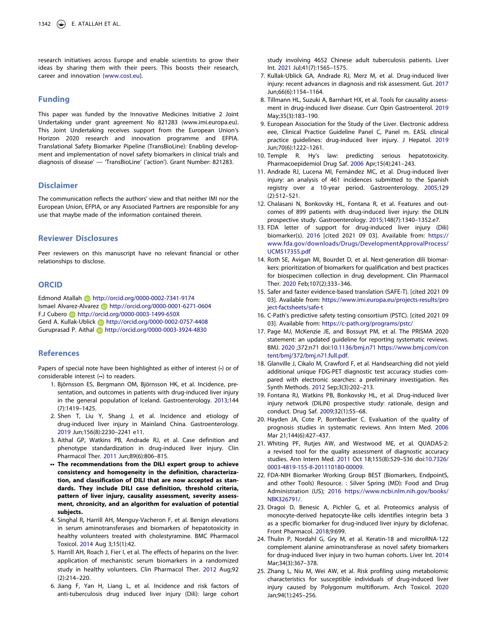research initiatives across Europe and enable scientists to grow their ideas by sharing them with their peers. This boosts their research, career and innovation ([www.cost.eu\)](www.cost.eu).

## **Funding**

This paper was funded by the Innovative Medicines Initiative 2 Joint Undertaking under grant agreement No 821283 (www.imi.europa.eu). This Joint Undertaking receives support from the European Union's Horizon 2020 research and innovation programme and EFPIA. Translational Safety Biomarker Pipeline (TransBioLine): Enabling development and implementation of novel safety biomarkers in clinical trials and diagnosis of disease' — 'TransBioLine' ('action'). Grant Number: 821283.

## **Disclaimer**

The communication reflects the authors' view and that neither IMI nor the European Union, EFPIA, or any Associated Partners are responsible for any use that maybe made of the information contained therein.

#### **Reviewer Disclosures**

Peer reviewers on this manuscript have no relevant financial or other relationships to disclose.

## **ORCID**

Edmond Atallah http://orcid.org/0000-0002-7341-9174 Ismael Alvarez-Alvarez **http://orcid.org/0000-0001-6271-0604** F.J Cubero **b** http://orcid.org/0000-0003-1499-650X Gerd A. Kullak-Ublick **http://orcid.org/0000-0002-0757-4408** Guruprasad P. Aithal **http://orcid.org/0000-0003-3924-4830** 

## **References**

Papers of special note have been highlighted as either of interest (•) or of considerable interest (••) to readers.

- <span id="page-16-0"></span>1. Björnsson ES, Bergmann OM, Björnsson HK, et al. Incidence, presentation, and outcomes in patients with drug-induced liver injury in the general population of Iceland. Gastroenterology. [2013;](#page-1-6)144 (7):1419–1425.
- <span id="page-16-1"></span>2. Shen T, Liu Y, Shang J, et al. Incidence and etiology of drug-induced liver injury in Mainland China. Gastroenterology. [2019](#page-1-7) Jun;156(8):2230–2241 e11.
- <span id="page-16-2"></span>3. Aithal GP, Watkins PB, Andrade RJ, et al. Case definition and phenotype standardization in drug-induced liver injury. Clin Pharmacol Ther. [2011](#page-1-8) Jun;89(6):806–815.
- **•• The recommendations from the DILI expert group to achieve consistency and homogeneity in the definition, characterization, and classification of DILI that are now accepted as standards. They include DILI case definition, threshold criteria, pattern of liver injury, causality assessment, severity assessment, chronicity, and an algorithm for evaluation of potential subjects.**
- <span id="page-16-3"></span>4. Singhal R, Harrill AH, Menguy-Vacheron F, et al. Benign elevations in serum aminotransferases and biomarkers of hepatotoxicity in healthy volunteers treated with cholestyramine. BMC Pharmacol Toxicol. [2014](#page-1-9) Aug 3;15(1):42.
- <span id="page-16-4"></span>5. Harrill AH, Roach J, Fier I, et al. The effects of heparins on the liver: application of mechanistic serum biomarkers in a randomized study in healthy volunteers. Clin Pharmacol Ther. [2012](#page-1-9) Aug;92 (2):214–220.
- <span id="page-16-5"></span>6. Jiang F, Yan H, Liang L, et al. Incidence and risk factors of anti-tuberculosis drug induced liver injury (Dili): large cohort

study involving 4652 Chinese adult tuberculosis patients. Liver Int. [2021](#page-1-10) Jul;41(7):1565–1575.

- <span id="page-16-6"></span>7. Kullak-Ublick GA, Andrade RJ, Merz M, et al. Drug-induced liver injury: recent advances in diagnosis and risk assessment. Gut. [2017](#page-1-11) Jun;66(6):1154–1164.
- <span id="page-16-7"></span>8. Tillmann HL, Suzuki A, Barnhart HX, et al. Tools for causality assessment in drug-induced liver disease. Curr Opin Gastroenterol. [2019](#page-1-12) May;35(3):183–190.
- <span id="page-16-8"></span>9. European Association for the Study of the Liver. Electronic address eee, Clinical Practice Guideline Panel C, Panel m. EASL clinical practice guidelines: drug-induced liver injury. J Hepatol. [2019](#page-2-0) Jun;70(6):1222–1261.
- <span id="page-16-9"></span>10. Temple R. Hy's law: predicting serious hepatotoxicity. Pharmacoepidemiol Drug Saf. [2006](#page-2-1) Apr;15(4):241–243.
- <span id="page-16-10"></span>11. Andrade RJ, Lucena MI, Fernández MC, et al. Drug-induced liver injury: an analysis of 461 incidences submitted to the Spanish registry over a 10-year period. Gastroenterology. [2005](#page-2-2);129 (2):512–521.
- <span id="page-16-11"></span>12. Chalasani N, Bonkovsky HL, Fontana R, et al. Features and outcomes of 899 patients with drug-induced liver injury: the DILIN prospective study. Gastroenterology. [2015;](#page-2-2)148(7):1340–1352.e7.
- <span id="page-16-12"></span>13. FDA letter of support for drug-induced liver injury (Dili) biomarker(s). [2016](#page-2-3) [cited 2021 09 03]. Available from: [https://](https://www.fda.gov/downloads/Drugs/DevelopmentApprovalProcess/UCM517355.pdf)  [www.fda.gov/downloads/Drugs/DevelopmentApprovalProcess/](https://www.fda.gov/downloads/Drugs/DevelopmentApprovalProcess/UCM517355.pdf)  [UCM517355.pdf](https://www.fda.gov/downloads/Drugs/DevelopmentApprovalProcess/UCM517355.pdf)
- <span id="page-16-13"></span>14. Roth SE, Avigan MI, Bourdet D, et al. Next-generation dili biomarkers: prioritization of biomarkers for qualification and best practices for biospecimen collection in drug development. Clin Pharmacol Ther. [2020](#page-2-3) Feb;107(2):333–346.
- <span id="page-16-14"></span>15. Safer and faster evidence-based translation (SAFE-T). [cited 2021 09 03]. Available from: [https://www.imi.europa.eu/projects-results/pro](https://www.imi.europa.eu/projects-results/project-factsheets/safe-t) [ject-factsheets/safe-t](https://www.imi.europa.eu/projects-results/project-factsheets/safe-t)
- <span id="page-16-15"></span>16. C-Path's predictive safety testing consortium (PSTC). [cited 2021 09 03]. Available from: <https://c-path.org/programs/pstc/>
- <span id="page-16-16"></span>17. Page MJ, McKenzie JE, and Bossuyt PM, et al. The PRISMA 2020 statement: an updated guideline for reporting systematic reviews. BMJ. [2020](#page-2-4) ;372:n71 doi:[10.1136/bmj.n71](https://doi.org/10.1136/bmj.n71) [https://www.bmj.com/con](https://www.bmj.com/content/bmj/372/bmj.n71.full.pdf) [tent/bmj/372/bmj.n71.full.pdf.](https://www.bmj.com/content/bmj/372/bmj.n71.full.pdf)
- <span id="page-16-17"></span>18. Glanville J, Cikalo M, Crawford F, et al. Handsearching did not yield additional unique FDG-PET diagnostic test accuracy studies compared with electronic searches: a preliminary investigation. Res Synth Methods. [2012](#page-2-5) Sep;3(3):202–213.
- <span id="page-16-18"></span>19. Fontana RJ, Watkins PB, Bonkovsky HL, et al. Drug-induced liver injury network (DILIN) prospective study: rationale, design and conduct. Drug Saf. [2009;](#page-3-0)32(1):55–68.
- <span id="page-16-19"></span>20. Hayden JA, Cote P, Bombardier C. Evaluation of the quality of prognosis studies in systematic reviews. Ann Intern Med. [2006](#page-3-1) Mar 21;144(6):427–437.
- <span id="page-16-20"></span>21. Whiting PF, Rutjes AW, and Westwood ME, et al. QUADAS-2: a revised tool for the quality assessment of diagnostic accuracy studies. Ann Intern Med. [2011](#page-3-1) Oct 18;155(8):529–536 doi:[10.7326/](https://doi.org/10.7326/0003-4819-155-8-201110180-00009) [0003-4819-155-8-201110180-00009.](https://doi.org/10.7326/0003-4819-155-8-201110180-00009)
- <span id="page-16-21"></span>22. FDA-NIH Biomarker Working Group BEST (Biomarkers, EndpointS, and other Tools) Resource. : Silver Spring (MD): Food and Drug Administration (US); [2016](#page-3-2) [https://www.ncbi.nlm.nih.gov/books/](https://www.ncbi.nlm.nih.gov/books/NBK326791/)  [NBK326791/](https://www.ncbi.nlm.nih.gov/books/NBK326791/).
- <span id="page-16-22"></span>23. Dragoi D, Benesic A, Pichler G, et al. Proteomics analysis of monocyte-derived hepatocyte-like cells identifies integrin beta 3 as a specific biomarker for drug-induced liver injury by diclofenac. Front Pharmacol. [2018;](#page-4-1)9:699.
- <span id="page-16-23"></span>24. Thulin P, Nordahl G, Gry M, et al. Keratin-18 and microRNA-122 complement alanine aminotransferase as novel safety biomarkers for drug-induced liver injury in two human cohorts. Liver Int. [2014](#page-4-2) Mar;34(3):367–378.
- <span id="page-16-24"></span>25. Zhang L, Niu M, Wei AW, et al. Risk profiling using metabolomic characteristics for susceptible individuals of drug-induced liver injury caused by Polygonum multiflorum. Arch Toxicol. [2020](#page-4-3) Jan;94(1):245–256.